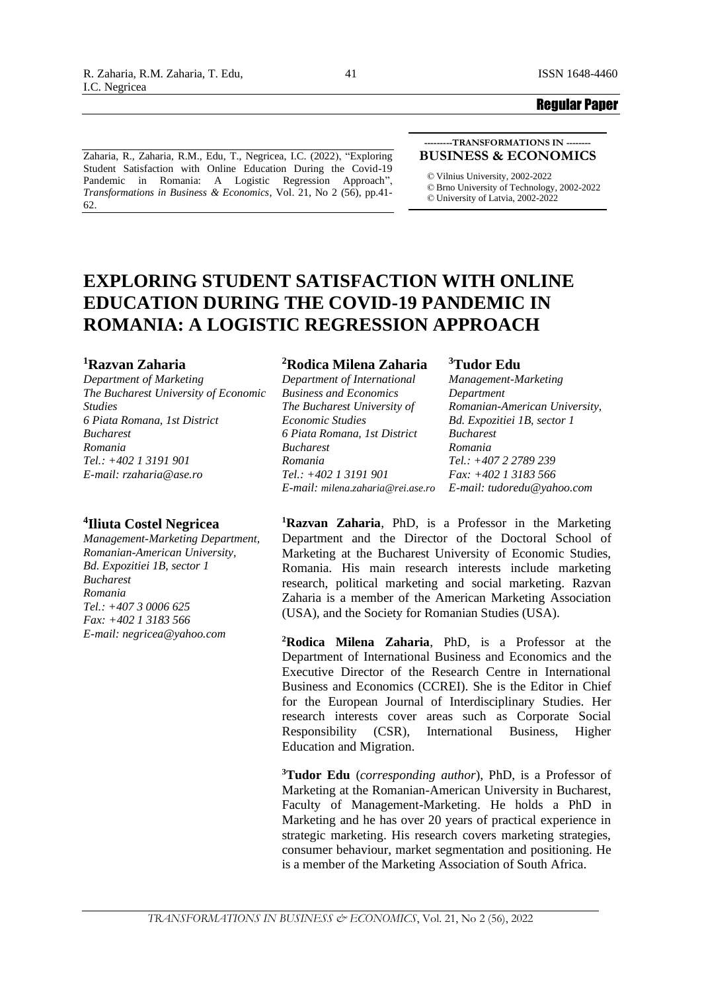Zaharia, R., Zaharia, R.M., Edu, T., Negricea, I.C. (2022), "Exploring Student Satisfaction with Online Education During the Covid-19 Pandemic in Romania: A Logistic Regression Approach", *Transformations in Business & Economics*, Vol. 21, No 2 (56), pp.41- 62.

#### **---------TRANSFORMATIONS IN -------- BUSINESS & ECONOMICS**

*©* Vilnius University, 2002-2022 *©* Brno University of Technology, 2002-2022 *©* University of Latvia, 2002-2022

# **EXPLORING STUDENT SATISFACTION WITH ONLINE EDUCATION DURING THE COVID-19 PANDEMIC IN ROMANIA: A LOGISTIC REGRESSION APPROACH**

### **<sup>1</sup>Razvan Zaharia**

*Department of Marketing The Bucharest University of Economic Studies 6 Piata Romana, 1st District Bucharest Romania Tel.: +402 1 3191 901 E-mail: rzaharia@ase.ro*

# **4 Iliuta Costel Negricea**

*Management-Marketing Department, Romanian-American University, Bd. Expozitiei 1B, sector 1 Bucharest Romania Tel.: +407 3 0006 625 Fax: +402 1 3183 566 E-mail: negricea@yahoo.com*

# **<sup>2</sup>Rodica Milena Zaharia**

*Department of International Business and Economics The Bucharest University of Economic Studies 6 Piata Romana, 1st District Bucharest Romania Tel.: +402 1 3191 901 E-mail: milena.zaharia@rei.ase.ro*

### **<sup>3</sup>Tudor Edu**

*Management-Marketing Department Romanian-American University, Bd. Expozitiei 1B, sector 1 Bucharest Romania Tel.: +407 2 2789 239 Fax: +402 1 3183 566 E-mail: tudoredu@yahoo.com*

**<sup>1</sup>Razvan Zaharia**, PhD, is a Professor in the Marketing Department and the Director of the Doctoral School of Marketing at the Bucharest University of Economic Studies, Romania. His main research interests include marketing research, political marketing and social marketing. Razvan Zaharia is a member of the American Marketing Association (USA), and the Society for Romanian Studies (USA).

**<sup>2</sup>Rodica Milena Zaharia**, PhD, is a Professor at the Department of International Business and Economics and the Executive Director of the Research Centre in International Business and Economics (CCREI). She is the Editor in Chief for the European Journal of Interdisciplinary Studies. Her research interests cover areas such as Corporate Social Responsibility (CSR), International Business, Higher Education and Migration.

**<sup>3</sup>Tudor Edu** (*corresponding author*), PhD, is a Professor of Marketing at the Romanian-American University in Bucharest, Faculty of Management-Marketing. He holds a PhD in Marketing and he has over 20 years of practical experience in strategic marketing. His research covers marketing strategies, consumer behaviour, market segmentation and positioning. He is a member of the Marketing Association of South Africa.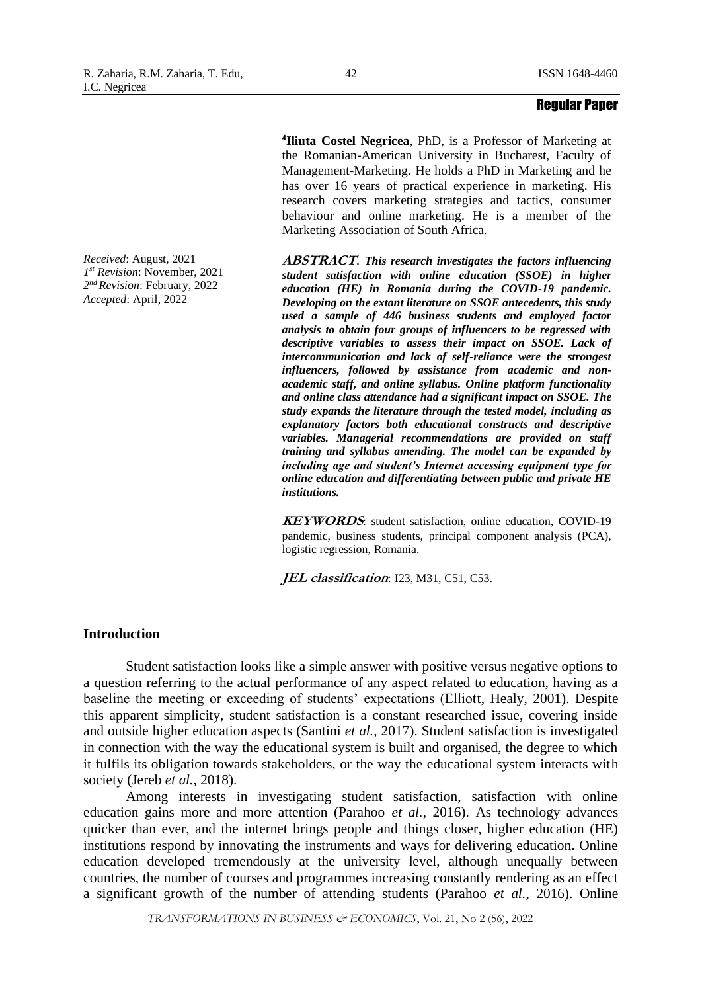*Received*: August, 2021 *1 st Revision*: November, 2021 *2 nd Revision*: February, 2022 *Accepted*: April, 2022

**4 Iliuta Costel Negricea**, PhD, is a Professor of Marketing at the Romanian-American University in Bucharest, Faculty of Management-Marketing. He holds a PhD in Marketing and he has over 16 years of practical experience in marketing. His research covers marketing strategies and tactics, consumer behaviour and online marketing. He is a member of the Marketing Association of South Africa.

**ABSTRACT**. *This research investigates the factors influencing student satisfaction with online education (SSOE) in higher education (HE) in Romania during the COVID-19 pandemic. Developing on the extant literature on SSOE antecedents, this study used a sample of 446 business students and employed factor analysis to obtain four groups of influencers to be regressed with descriptive variables to assess their impact on SSOE. Lack of intercommunication and lack of self-reliance were the strongest influencers, followed by assistance from academic and nonacademic staff, and online syllabus. Online platform functionality and online class attendance had a significant impact on SSOE. The study expands the literature through the tested model, including as explanatory factors both educational constructs and descriptive variables. Managerial recommendations are provided on staff training and syllabus amending. The model can be expanded by including age and student's Internet accessing equipment type for online education and differentiating between public and private HE institutions.*

**KEYWORDS**: student satisfaction, online education, COVID-19 pandemic, business students, principal component analysis (PCA), logistic regression, Romania.

**JEL classification**: I23, M31, C51, C53.

# **Introduction**

Student satisfaction looks like a simple answer with positive versus negative options to a question referring to the actual performance of any aspect related to education, having as a baseline the meeting or exceeding of students' expectations (Elliott, Healy, 2001). Despite this apparent simplicity, student satisfaction is a constant researched issue, covering inside and outside higher education aspects (Santini *et al.*, 2017). Student satisfaction is investigated in connection with the way the educational system is built and organised, the degree to which it fulfils its obligation towards stakeholders, or the way the educational system interacts with society (Jereb *et al.*, 2018).

Among interests in investigating student satisfaction, satisfaction with online education gains more and more attention (Parahoo *et al.*, 2016). As technology advances quicker than ever, and the internet brings people and things closer, higher education (HE) institutions respond by innovating the instruments and ways for delivering education. Online education developed tremendously at the university level, although unequally between countries, the number of courses and programmes increasing constantly rendering as an effect a significant growth of the number of attending students (Parahoo *et al.*, 2016). Online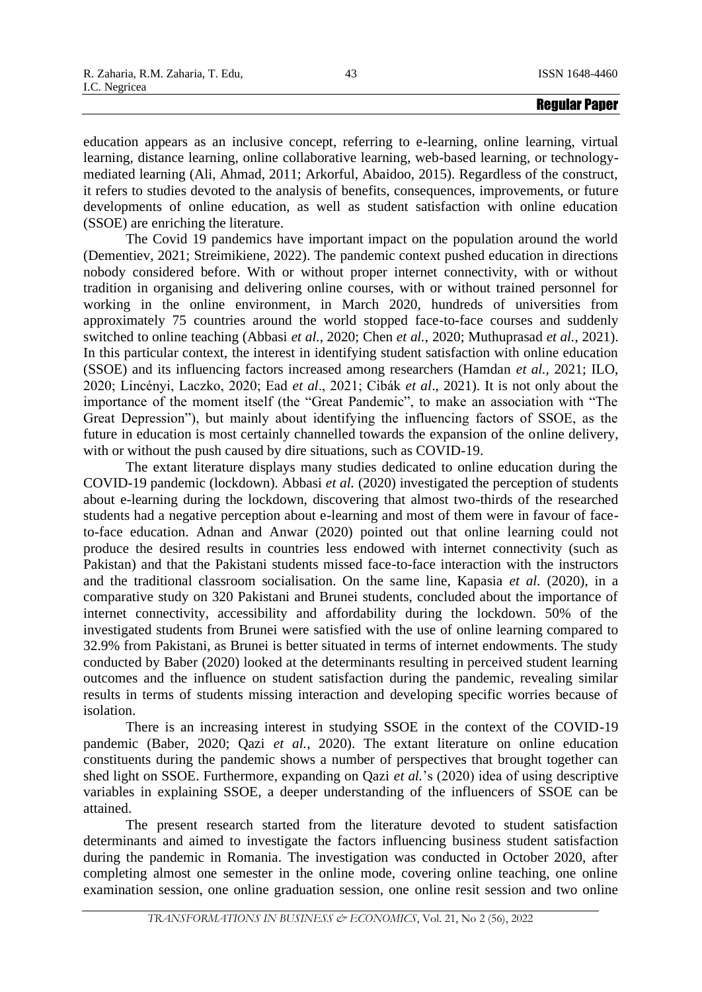education appears as an inclusive concept, referring to e-learning, online learning, virtual learning, distance learning, online collaborative learning, web-based learning, or technologymediated learning (Ali, Ahmad, 2011; Arkorful, Abaidoo, 2015). Regardless of the construct, it refers to studies devoted to the analysis of benefits, consequences, improvements, or future developments of online education, as well as student satisfaction with online education (SSOE) are enriching the literature.

The Covid 19 pandemics have important impact on the population around the world (Dementiev, 2021; Streimikiene, 2022). The pandemic context pushed education in directions nobody considered before. With or without proper internet connectivity, with or without tradition in organising and delivering online courses, with or without trained personnel for working in the online environment, in March 2020, hundreds of universities from approximately 75 countries around the world stopped face-to-face courses and suddenly switched to online teaching (Abbasi *et al.*, 2020; Chen *et al.*, 2020; Muthuprasad *et al.*, 2021). In this particular context, the interest in identifying student satisfaction with online education (SSOE) and its influencing factors increased among researchers (Hamdan *et al.,* 2021; ILO, 2020; Lincényi, Laczko, 2020; Ead *et al*., 2021; Cibák *et al*., 2021). It is not only about the importance of the moment itself (the "Great Pandemic", to make an association with "The Great Depression"), but mainly about identifying the influencing factors of SSOE, as the future in education is most certainly channelled towards the expansion of the online delivery, with or without the push caused by dire situations, such as COVID-19.

The extant literature displays many studies dedicated to online education during the COVID-19 pandemic (lockdown). Abbasi *et al.* (2020) investigated the perception of students about e-learning during the lockdown, discovering that almost two-thirds of the researched students had a negative perception about e-learning and most of them were in favour of faceto-face education. Adnan and Anwar (2020) pointed out that online learning could not produce the desired results in countries less endowed with internet connectivity (such as Pakistan) and that the Pakistani students missed face-to-face interaction with the instructors and the traditional classroom socialisation. On the same line, Kapasia *et al.* (2020), in a comparative study on 320 Pakistani and Brunei students, concluded about the importance of internet connectivity, accessibility and affordability during the lockdown. 50% of the investigated students from Brunei were satisfied with the use of online learning compared to 32.9% from Pakistani, as Brunei is better situated in terms of internet endowments. The study conducted by Baber (2020) looked at the determinants resulting in perceived student learning outcomes and the influence on student satisfaction during the pandemic, revealing similar results in terms of students missing interaction and developing specific worries because of isolation.

There is an increasing interest in studying SSOE in the context of the COVID-19 pandemic (Baber, 2020; Qazi *et al.,* 2020). The extant literature on online education constituents during the pandemic shows a number of perspectives that brought together can shed light on SSOE. Furthermore, expanding on Qazi *et al.*'s (2020) idea of using descriptive variables in explaining SSOE, a deeper understanding of the influencers of SSOE can be attained.

The present research started from the literature devoted to student satisfaction determinants and aimed to investigate the factors influencing business student satisfaction during the pandemic in Romania. The investigation was conducted in October 2020, after completing almost one semester in the online mode, covering online teaching, one online examination session, one online graduation session, one online resit session and two online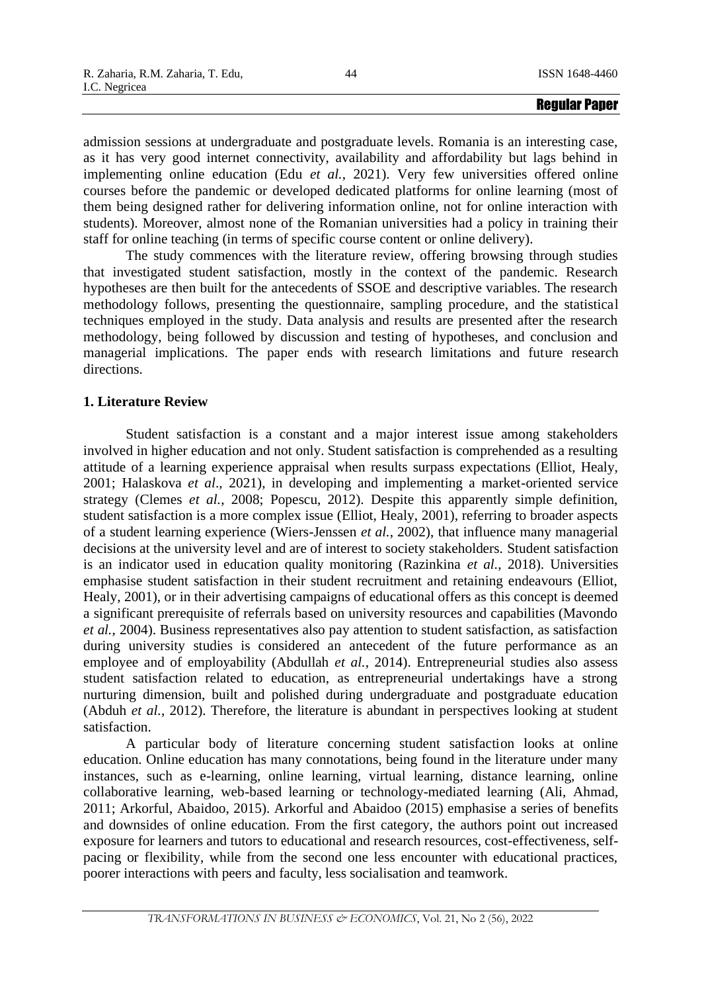admission sessions at undergraduate and postgraduate levels. Romania is an interesting case, as it has very good internet connectivity, availability and affordability but lags behind in implementing online education (Edu *et al.*, 2021). Very few universities offered online courses before the pandemic or developed dedicated platforms for online learning (most of them being designed rather for delivering information online, not for online interaction with students). Moreover, almost none of the Romanian universities had a policy in training their staff for online teaching (in terms of specific course content or online delivery).

The study commences with the literature review, offering browsing through studies that investigated student satisfaction, mostly in the context of the pandemic. Research hypotheses are then built for the antecedents of SSOE and descriptive variables. The research methodology follows, presenting the questionnaire, sampling procedure, and the statistical techniques employed in the study. Data analysis and results are presented after the research methodology, being followed by discussion and testing of hypotheses, and conclusion and managerial implications. The paper ends with research limitations and future research directions.

# **1. Literature Review**

Student satisfaction is a constant and a major interest issue among stakeholders involved in higher education and not only. Student satisfaction is comprehended as a resulting attitude of a learning experience appraisal when results surpass expectations (Elliot, Healy, 2001; Halaskova *et al*., 2021), in developing and implementing a market-oriented service strategy (Clemes *et al.*, 2008; Popescu, 2012). Despite this apparently simple definition, student satisfaction is a more complex issue (Elliot, Healy, 2001), referring to broader aspects of a student learning experience (Wiers-Jenssen *et al.*, 2002), that influence many managerial decisions at the university level and are of interest to society stakeholders. Student satisfaction is an indicator used in education quality monitoring (Razinkina *et al.*, 2018). Universities emphasise student satisfaction in their student recruitment and retaining endeavours (Elliot, Healy, 2001), or in their advertising campaigns of educational offers as this concept is deemed a significant prerequisite of referrals based on university resources and capabilities (Mavondo *et al.*, 2004). Business representatives also pay attention to student satisfaction, as satisfaction during university studies is considered an antecedent of the future performance as an employee and of employability (Abdullah *et al.*, 2014). Entrepreneurial studies also assess student satisfaction related to education, as entrepreneurial undertakings have a strong nurturing dimension, built and polished during undergraduate and postgraduate education (Abduh *et al.*, 2012). Therefore, the literature is abundant in perspectives looking at student satisfaction.

A particular body of literature concerning student satisfaction looks at online education. Online education has many connotations, being found in the literature under many instances, such as e-learning, online learning, virtual learning, distance learning, online collaborative learning, web-based learning or technology-mediated learning (Ali, Ahmad, 2011; Arkorful, Abaidoo, 2015). Arkorful and Abaidoo (2015) emphasise a series of benefits and downsides of online education. From the first category, the authors point out increased exposure for learners and tutors to educational and research resources, cost-effectiveness, selfpacing or flexibility, while from the second one less encounter with educational practices, poorer interactions with peers and faculty, less socialisation and teamwork.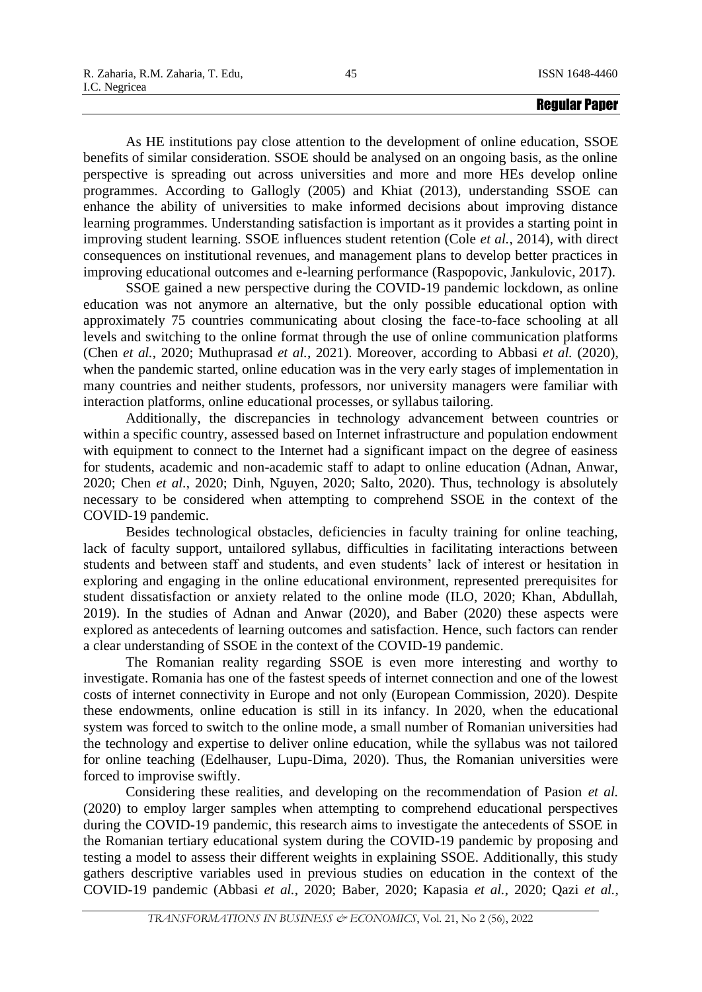As HE institutions pay close attention to the development of online education, SSOE benefits of similar consideration. SSOE should be analysed on an ongoing basis, as the online perspective is spreading out across universities and more and more HEs develop online programmes. According to Gallogly (2005) and Khiat (2013), understanding SSOE can enhance the ability of universities to make informed decisions about improving distance learning programmes. Understanding satisfaction is important as it provides a starting point in improving student learning. SSOE influences student retention (Cole *et al.*, 2014), with direct consequences on institutional revenues, and management plans to develop better practices in improving educational outcomes and e-learning performance (Raspopovic, Jankulovic, 2017).

SSOE gained a new perspective during the COVID-19 pandemic lockdown, as online education was not anymore an alternative, but the only possible educational option with approximately 75 countries communicating about closing the face-to-face schooling at all levels and switching to the online format through the use of online communication platforms (Chen *et al.*, 2020; Muthuprasad *et al.*, 2021). Moreover, according to Abbasi *et al.* (2020), when the pandemic started, online education was in the very early stages of implementation in many countries and neither students, professors, nor university managers were familiar with interaction platforms, online educational processes, or syllabus tailoring.

Additionally, the discrepancies in technology advancement between countries or within a specific country, assessed based on Internet infrastructure and population endowment with equipment to connect to the Internet had a significant impact on the degree of easiness for students, academic and non-academic staff to adapt to online education (Adnan, Anwar, 2020; Chen *et al.*, 2020; Dinh, Nguyen, 2020; Salto, 2020). Thus, technology is absolutely necessary to be considered when attempting to comprehend SSOE in the context of the COVID-19 pandemic.

Besides technological obstacles, deficiencies in faculty training for online teaching, lack of faculty support, untailored syllabus, difficulties in facilitating interactions between students and between staff and students, and even students' lack of interest or hesitation in exploring and engaging in the online educational environment, represented prerequisites for student dissatisfaction or anxiety related to the online mode (ILO, 2020; Khan, Abdullah, 2019). In the studies of Adnan and Anwar (2020), and Baber (2020) these aspects were explored as antecedents of learning outcomes and satisfaction. Hence, such factors can render a clear understanding of SSOE in the context of the COVID-19 pandemic.

The Romanian reality regarding SSOE is even more interesting and worthy to investigate. Romania has one of the fastest speeds of internet connection and one of the lowest costs of internet connectivity in Europe and not only (European Commission, 2020). Despite these endowments, online education is still in its infancy. In 2020, when the educational system was forced to switch to the online mode, a small number of Romanian universities had the technology and expertise to deliver online education, while the syllabus was not tailored for online teaching (Edelhauser, Lupu-Dima, 2020). Thus, the Romanian universities were forced to improvise swiftly.

Considering these realities, and developing on the recommendation of Pasion *et al.* (2020) to employ larger samples when attempting to comprehend educational perspectives during the COVID-19 pandemic, this research aims to investigate the antecedents of SSOE in the Romanian tertiary educational system during the COVID-19 pandemic by proposing and testing a model to assess their different weights in explaining SSOE. Additionally, this study gathers descriptive variables used in previous studies on education in the context of the COVID-19 pandemic (Abbasi *et al.*, 2020; Baber, 2020; Kapasia *et al.*, 2020; Qazi *et al.*,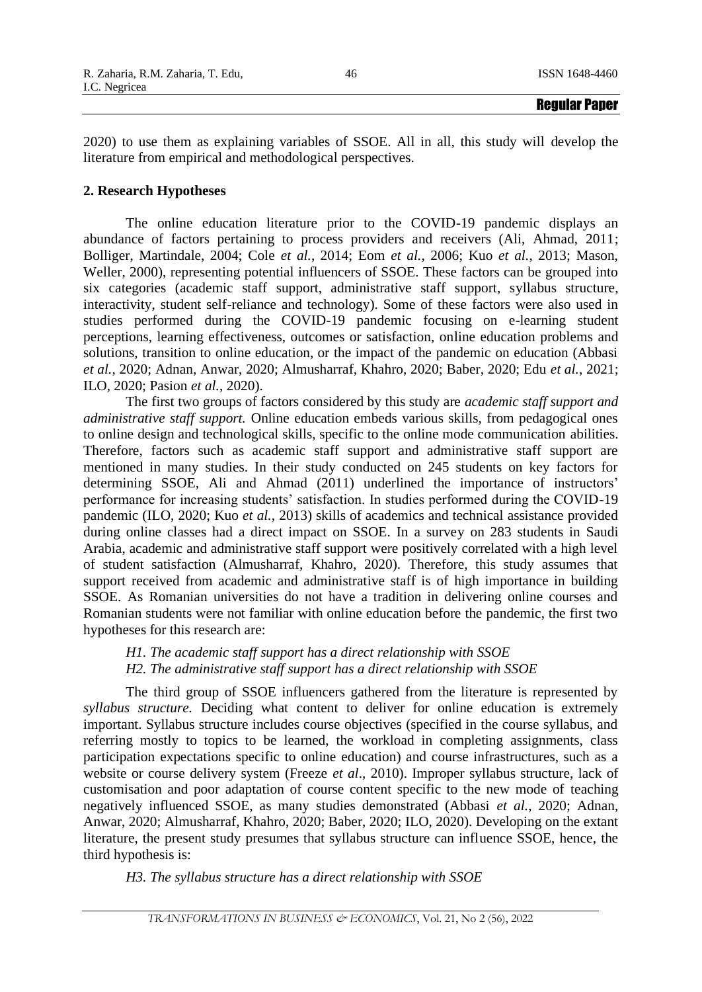2020) to use them as explaining variables of SSOE. All in all, this study will develop the literature from empirical and methodological perspectives.

# **2. Research Hypotheses**

The online education literature prior to the COVID-19 pandemic displays an abundance of factors pertaining to process providers and receivers (Ali, Ahmad, 2011; Bolliger, Martindale, 2004; Cole *et al.*, 2014; Eom *et al.*, 2006; Kuo *et al.*, 2013; Mason, Weller, 2000), representing potential influencers of SSOE. These factors can be grouped into six categories (academic staff support, administrative staff support, syllabus structure, interactivity, student self-reliance and technology). Some of these factors were also used in studies performed during the COVID-19 pandemic focusing on e-learning student perceptions, learning effectiveness, outcomes or satisfaction, online education problems and solutions, transition to online education, or the impact of the pandemic on education (Abbasi *et al.*, 2020; Adnan, Anwar, 2020; Almusharraf, Khahro, 2020; Baber, 2020; Edu *et al.*, 2021; ILO, 2020; Pasion *et al.*, 2020).

The first two groups of factors considered by this study are *academic staff support and administrative staff support.* Online education embeds various skills, from pedagogical ones to online design and technological skills, specific to the online mode communication abilities. Therefore, factors such as academic staff support and administrative staff support are mentioned in many studies. In their study conducted on 245 students on key factors for determining SSOE, Ali and Ahmad (2011) underlined the importance of instructors' performance for increasing students' satisfaction. In studies performed during the COVID-19 pandemic (ILO, 2020; Kuo *et al.*, 2013) skills of academics and technical assistance provided during online classes had a direct impact on SSOE. In a survey on 283 students in Saudi Arabia, academic and administrative staff support were positively correlated with a high level of student satisfaction (Almusharraf, Khahro, 2020). Therefore, this study assumes that support received from academic and administrative staff is of high importance in building SSOE. As Romanian universities do not have a tradition in delivering online courses and Romanian students were not familiar with online education before the pandemic, the first two hypotheses for this research are:

# *H1. The academic staff support has a direct relationship with SSOE H2. The administrative staff support has a direct relationship with SSOE*

The third group of SSOE influencers gathered from the literature is represented by *syllabus structure.* Deciding what content to deliver for online education is extremely important. Syllabus structure includes course objectives (specified in the course syllabus, and referring mostly to topics to be learned, the workload in completing assignments, class participation expectations specific to online education) and course infrastructures, such as a website or course delivery system (Freeze *et al*., 2010). Improper syllabus structure, lack of customisation and poor adaptation of course content specific to the new mode of teaching negatively influenced SSOE, as many studies demonstrated (Abbasi *et al.*, 2020; Adnan, Anwar, 2020; Almusharraf, Khahro, 2020; Baber, 2020; ILO, 2020). Developing on the extant literature, the present study presumes that syllabus structure can influence SSOE, hence, the third hypothesis is:

*H3. The syllabus structure has a direct relationship with SSOE*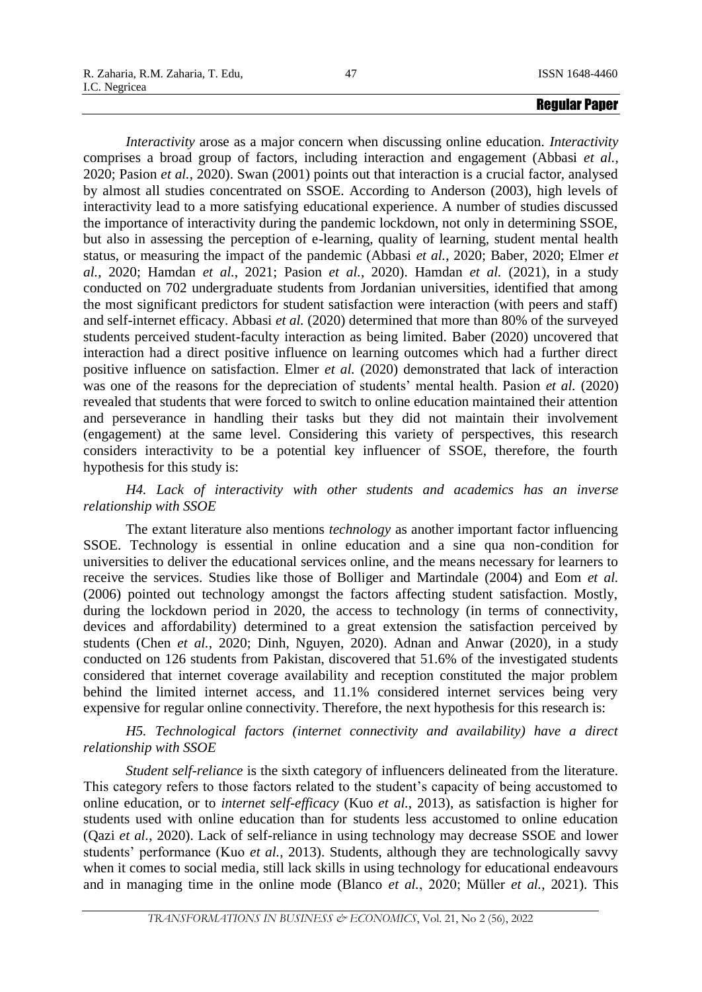*Interactivity* arose as a major concern when discussing online education. *Interactivity* comprises a broad group of factors, including interaction and engagement (Abbasi *et al.*, 2020; Pasion *et al.*, 2020). Swan (2001) points out that interaction is a crucial factor, analysed by almost all studies concentrated on SSOE. According to Anderson (2003), high levels of interactivity lead to a more satisfying educational experience. A number of studies discussed the importance of interactivity during the pandemic lockdown, not only in determining SSOE, but also in assessing the perception of e-learning, quality of learning, student mental health status, or measuring the impact of the pandemic (Abbasi *et al.*, 2020; Baber, 2020; Elmer *et al.*, 2020; Hamdan *et al.*, 2021; Pasion *et al.*, 2020). Hamdan *et al.* (2021), in a study conducted on 702 undergraduate students from Jordanian universities, identified that among the most significant predictors for student satisfaction were interaction (with peers and staff) and self-internet efficacy. Abbasi *et al.* (2020) determined that more than 80% of the surveyed students perceived student-faculty interaction as being limited. Baber (2020) uncovered that interaction had a direct positive influence on learning outcomes which had a further direct positive influence on satisfaction. Elmer *et al.* (2020) demonstrated that lack of interaction was one of the reasons for the depreciation of students' mental health. Pasion *et al.* (2020) revealed that students that were forced to switch to online education maintained their attention and perseverance in handling their tasks but they did not maintain their involvement (engagement) at the same level. Considering this variety of perspectives, this research considers interactivity to be a potential key influencer of SSOE, therefore, the fourth hypothesis for this study is:

# *H4. Lack of interactivity with other students and academics has an inverse relationship with SSOE*

The extant literature also mentions *technology* as another important factor influencing SSOE. Technology is essential in online education and a sine qua non-condition for universities to deliver the educational services online, and the means necessary for learners to receive the services. Studies like those of Bolliger and Martindale (2004) and Eom *et al.* (2006) pointed out technology amongst the factors affecting student satisfaction. Mostly, during the lockdown period in 2020, the access to technology (in terms of connectivity, devices and affordability) determined to a great extension the satisfaction perceived by students (Chen *et al.*, 2020; Dinh, Nguyen, 2020). Adnan and Anwar (2020), in a study conducted on 126 students from Pakistan, discovered that 51.6% of the investigated students considered that internet coverage availability and reception constituted the major problem behind the limited internet access, and 11.1% considered internet services being very expensive for regular online connectivity. Therefore, the next hypothesis for this research is:

# *H5. Technological factors (internet connectivity and availability) have a direct relationship with SSOE*

*Student self-reliance* is the sixth category of influencers delineated from the literature. This category refers to those factors related to the student's capacity of being accustomed to online education, or to *internet self-efficacy* (Kuo *et al.*, 2013), as satisfaction is higher for students used with online education than for students less accustomed to online education (Qazi *et al.*, 2020). Lack of self-reliance in using technology may decrease SSOE and lower students' performance (Kuo *et al.*, 2013). Students, although they are technologically savvy when it comes to social media, still lack skills in using technology for educational endeavours and in managing time in the online mode (Blanco *et al.*, 2020; Müller *et al.*, 2021). This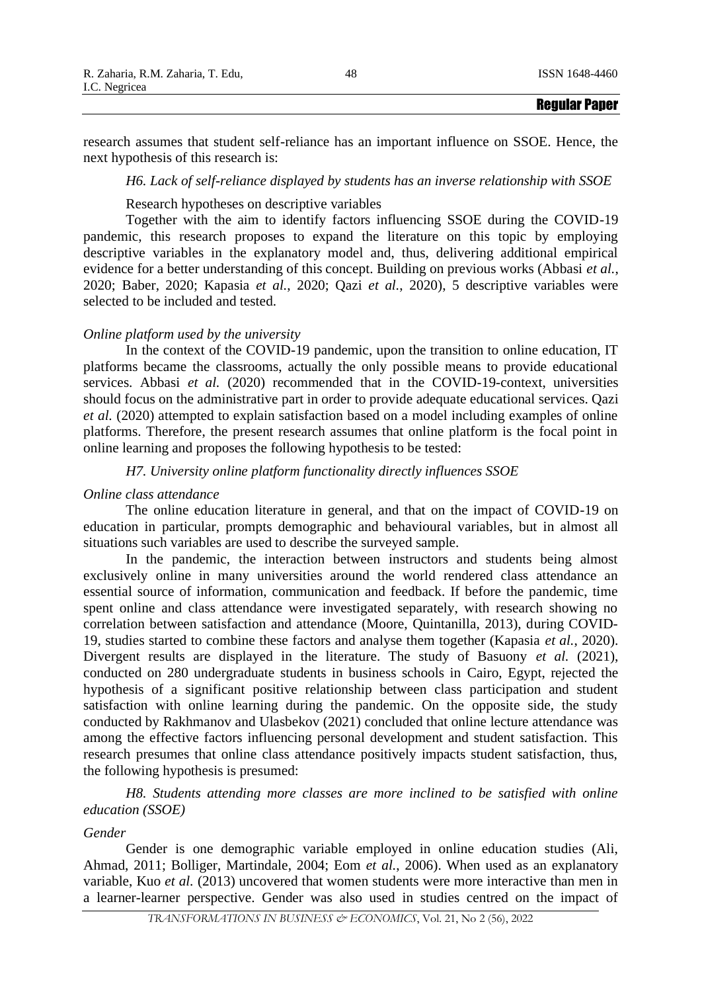|                                   |    | <b>Regular Paper</b> |
|-----------------------------------|----|----------------------|
| I.C. Negricea                     |    |                      |
| R. Zaharia, R.M. Zaharia, T. Edu, | 48 | ISSN 1648-4460       |

research assumes that student self-reliance has an important influence on SSOE. Hence, the next hypothesis of this research is:

### *H6. Lack of self-reliance displayed by students has an inverse relationship with SSOE*

Research hypotheses on descriptive variables

Together with the aim to identify factors influencing SSOE during the COVID-19 pandemic, this research proposes to expand the literature on this topic by employing descriptive variables in the explanatory model and, thus, delivering additional empirical evidence for a better understanding of this concept. Building on previous works (Abbasi *et al.*, 2020; Baber, 2020; Kapasia *et al.*, 2020; Qazi *et al.*, 2020), 5 descriptive variables were selected to be included and tested.

# *Online platform used by the university*

In the context of the COVID-19 pandemic, upon the transition to online education, IT platforms became the classrooms, actually the only possible means to provide educational services. Abbasi *et al.* (2020) recommended that in the COVID-19-context, universities should focus on the administrative part in order to provide adequate educational services. Qazi *et al.* (2020) attempted to explain satisfaction based on a model including examples of online platforms. Therefore, the present research assumes that online platform is the focal point in online learning and proposes the following hypothesis to be tested:

*H7. University online platform functionality directly influences SSOE*

### *Online class attendance*

The online education literature in general, and that on the impact of COVID-19 on education in particular, prompts demographic and behavioural variables, but in almost all situations such variables are used to describe the surveyed sample.

In the pandemic, the interaction between instructors and students being almost exclusively online in many universities around the world rendered class attendance an essential source of information, communication and feedback. If before the pandemic, time spent online and class attendance were investigated separately, with research showing no correlation between satisfaction and attendance (Moore, Quintanilla, 2013), during COVID-19, studies started to combine these factors and analyse them together (Kapasia *et al.*, 2020). Divergent results are displayed in the literature. The study of Basuony *et al.* (2021), conducted on 280 undergraduate students in business schools in Cairo, Egypt, rejected the hypothesis of a significant positive relationship between class participation and student satisfaction with online learning during the pandemic. On the opposite side, the study conducted by Rakhmanov and Ulasbekov (2021) concluded that online lecture attendance was among the effective factors influencing personal development and student satisfaction. This research presumes that online class attendance positively impacts student satisfaction, thus, the following hypothesis is presumed:

*H8. Students attending more classes are more inclined to be satisfied with online education (SSOE)*

# *Gender*

Gender is one demographic variable employed in online education studies (Ali, Ahmad, 2011; Bolliger, Martindale, 2004; Eom *et al.*, 2006). When used as an explanatory variable, Kuo *et al.* (2013) uncovered that women students were more interactive than men in a learner-learner perspective. Gender was also used in studies centred on the impact of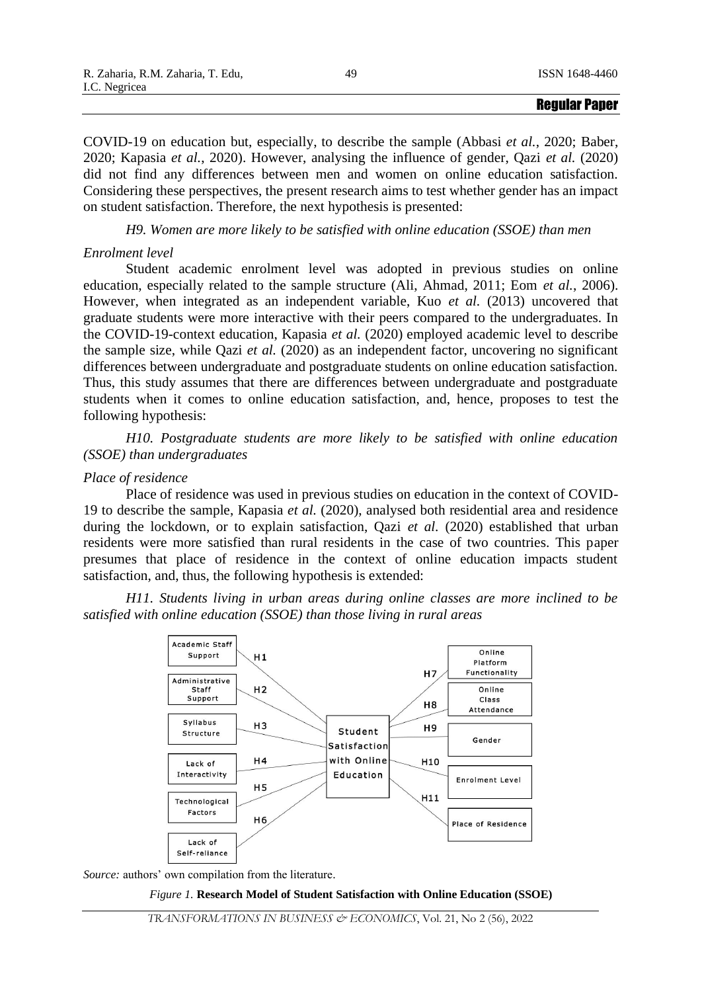COVID-19 on education but, especially, to describe the sample (Abbasi *et al.*, 2020; Baber, 2020; Kapasia *et al.*, 2020). However, analysing the influence of gender, Qazi *et al.* (2020) did not find any differences between men and women on online education satisfaction. Considering these perspectives, the present research aims to test whether gender has an impact on student satisfaction. Therefore, the next hypothesis is presented:

*H9. Women are more likely to be satisfied with online education (SSOE) than men*

# *Enrolment level*

Student academic enrolment level was adopted in previous studies on online education, especially related to the sample structure (Ali, Ahmad, 2011; Eom *et al.*, 2006). However, when integrated as an independent variable, Kuo *et al.* (2013) uncovered that graduate students were more interactive with their peers compared to the undergraduates. In the COVID-19-context education, Kapasia *et al.* (2020) employed academic level to describe the sample size, while Qazi *et al.* (2020) as an independent factor, uncovering no significant differences between undergraduate and postgraduate students on online education satisfaction. Thus, this study assumes that there are differences between undergraduate and postgraduate students when it comes to online education satisfaction, and, hence, proposes to test the following hypothesis:

*H10. Postgraduate students are more likely to be satisfied with online education (SSOE) than undergraduates*

# *Place of residence*

Place of residence was used in previous studies on education in the context of COVID-19 to describe the sample, Kapasia *et al.* (2020), analysed both residential area and residence during the lockdown, or to explain satisfaction, Qazi *et al.* (2020) established that urban residents were more satisfied than rural residents in the case of two countries. This paper presumes that place of residence in the context of online education impacts student satisfaction, and, thus, the following hypothesis is extended:

*H11. Students living in urban areas during online classes are more inclined to be satisfied with online education (SSOE) than those living in rural areas*



*Source:* authors' own compilation from the literature.

#### *Figure 1.* **Research Model of Student Satisfaction with Online Education (SSOE)**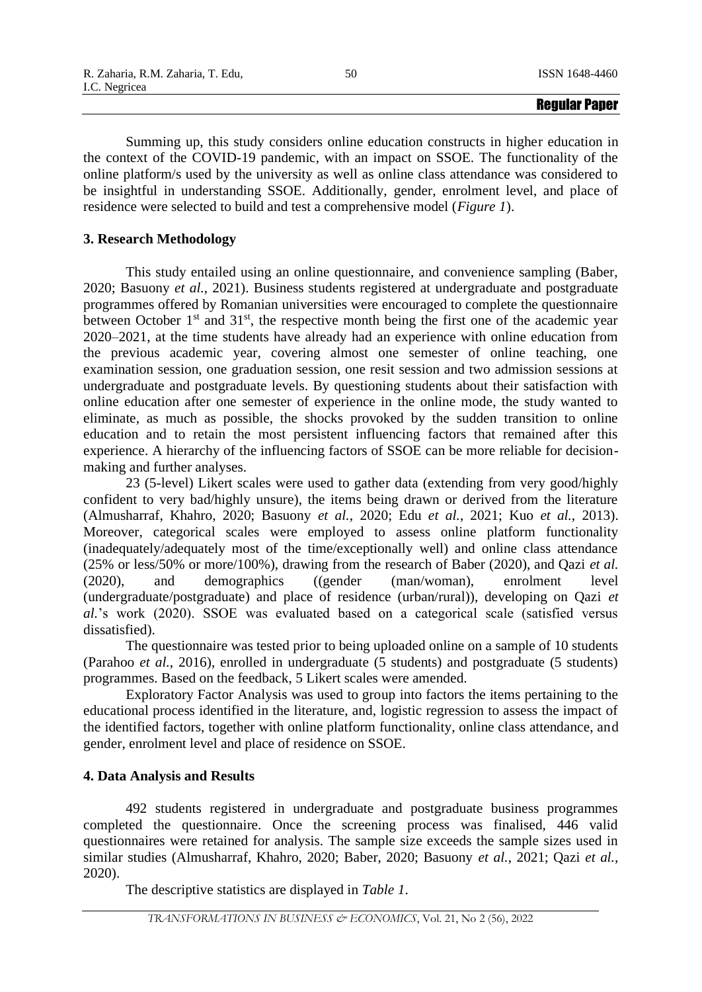Summing up, this study considers online education constructs in higher education in the context of the COVID-19 pandemic, with an impact on SSOE. The functionality of the online platform/s used by the university as well as online class attendance was considered to be insightful in understanding SSOE. Additionally, gender, enrolment level, and place of residence were selected to build and test a comprehensive model (*Figure 1*).

# **3. Research Methodology**

This study entailed using an online questionnaire, and convenience sampling (Baber, 2020; Basuony *et al.*, 2021). Business students registered at undergraduate and postgraduate programmes offered by Romanian universities were encouraged to complete the questionnaire between October  $1<sup>st</sup>$  and  $31<sup>st</sup>$ , the respective month being the first one of the academic year 2020–2021, at the time students have already had an experience with online education from the previous academic year, covering almost one semester of online teaching, one examination session, one graduation session, one resit session and two admission sessions at undergraduate and postgraduate levels. By questioning students about their satisfaction with online education after one semester of experience in the online mode, the study wanted to eliminate, as much as possible, the shocks provoked by the sudden transition to online education and to retain the most persistent influencing factors that remained after this experience. A hierarchy of the influencing factors of SSOE can be more reliable for decisionmaking and further analyses.

23 (5-level) Likert scales were used to gather data (extending from very good/highly confident to very bad/highly unsure), the items being drawn or derived from the literature (Almusharraf, Khahro, 2020; Basuony *et al.*, 2020; Edu *et al.*, 2021; Kuo *et al.*, 2013). Moreover, categorical scales were employed to assess online platform functionality (inadequately/adequately most of the time/exceptionally well) and online class attendance (25% or less/50% or more/100%), drawing from the research of Baber (2020), and Qazi *et al.* (2020), and demographics ((gender (man/woman), enrolment level (undergraduate/postgraduate) and place of residence (urban/rural)), developing on Qazi *et al.*'s work (2020). SSOE was evaluated based on a categorical scale (satisfied versus dissatisfied).

The questionnaire was tested prior to being uploaded online on a sample of 10 students (Parahoo *et al.*, 2016), enrolled in undergraduate (5 students) and postgraduate (5 students) programmes. Based on the feedback, 5 Likert scales were amended.

Exploratory Factor Analysis was used to group into factors the items pertaining to the educational process identified in the literature, and, logistic regression to assess the impact of the identified factors, together with online platform functionality, online class attendance, and gender, enrolment level and place of residence on SSOE.

# **4. Data Analysis and Results**

492 students registered in undergraduate and postgraduate business programmes completed the questionnaire. Once the screening process was finalised, 446 valid questionnaires were retained for analysis. The sample size exceeds the sample sizes used in similar studies (Almusharraf, Khahro, 2020; Baber, 2020; Basuony *et al.*, 2021; Qazi *et al.*, 2020).

The descriptive statistics are displayed in *Table 1*.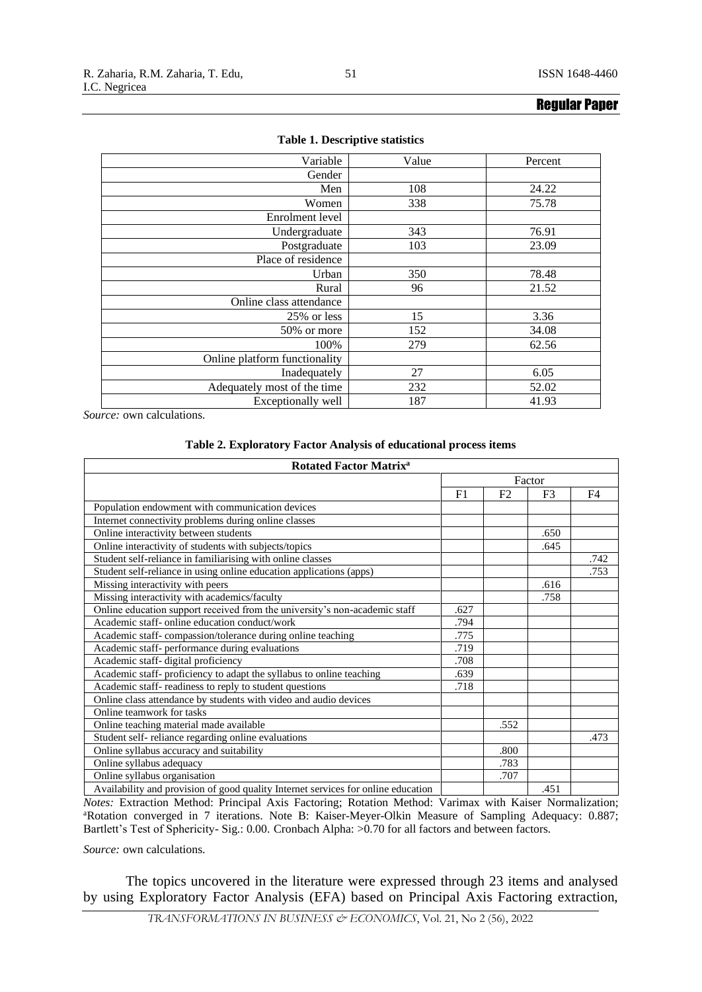| Variable                      | Value | Percent |
|-------------------------------|-------|---------|
| Gender                        |       |         |
| Men                           | 108   | 24.22   |
| Women                         | 338   | 75.78   |
| Enrolment level               |       |         |
| Undergraduate                 | 343   | 76.91   |
| Postgraduate                  | 103   | 23.09   |
| Place of residence            |       |         |
| Urban                         | 350   | 78.48   |
| Rural                         | 96    | 21.52   |
| Online class attendance       |       |         |
| 25% or less                   | 15    | 3.36    |
| 50% or more                   | 152   | 34.08   |
| 100%                          | 279   | 62.56   |
| Online platform functionality |       |         |
| Inadequately                  | 27    | 6.05    |
| Adequately most of the time   | 232   | 52.02   |
| Exceptionally well            | 187   | 41.93   |

#### **Table 1. Descriptive statistics**

*Source:* own calculations.

# **Table 2. Exploratory Factor Analysis of educational process items**

| <b>Rotated Factor Matrix<sup>a</sup></b>                                          |                |      |      |      |  |  |
|-----------------------------------------------------------------------------------|----------------|------|------|------|--|--|
|                                                                                   | Factor         |      |      |      |  |  |
|                                                                                   | F <sub>1</sub> | F2   | F3   | F4   |  |  |
| Population endowment with communication devices                                   |                |      |      |      |  |  |
| Internet connectivity problems during online classes                              |                |      |      |      |  |  |
| Online interactivity between students                                             |                |      | .650 |      |  |  |
| Online interactivity of students with subjects/topics                             |                |      | .645 |      |  |  |
| Student self-reliance in familiarising with online classes                        |                |      |      | .742 |  |  |
| Student self-reliance in using online education applications (apps)               |                |      |      | .753 |  |  |
| Missing interactivity with peers                                                  |                |      | .616 |      |  |  |
| Missing interactivity with academics/faculty                                      |                |      | .758 |      |  |  |
| Online education support received from the university's non-academic staff        | .627           |      |      |      |  |  |
| Academic staff- online education conduct/work                                     | .794           |      |      |      |  |  |
| Academic staff-compassion/tolerance during online teaching                        | .775           |      |      |      |  |  |
| Academic staff- performance during evaluations                                    | .719           |      |      |      |  |  |
| Academic staff-digital proficiency                                                | .708           |      |      |      |  |  |
| Academic staff- proficiency to adapt the syllabus to online teaching              | .639           |      |      |      |  |  |
| Academic staff-readiness to reply to student questions                            | .718           |      |      |      |  |  |
| Online class attendance by students with video and audio devices                  |                |      |      |      |  |  |
| Online teamwork for tasks                                                         |                |      |      |      |  |  |
| Online teaching material made available                                           |                | .552 |      |      |  |  |
| Student self-reliance regarding online evaluations                                |                |      |      | .473 |  |  |
| Online syllabus accuracy and suitability                                          |                | .800 |      |      |  |  |
| Online syllabus adequacy                                                          |                | .783 |      |      |  |  |
| Online syllabus organisation                                                      |                | .707 |      |      |  |  |
| Availability and provision of good quality Internet services for online education |                |      | .451 |      |  |  |

*Notes:* Extraction Method: Principal Axis Factoring; Rotation Method: Varimax with Kaiser Normalization; <sup>a</sup>Rotation converged in 7 iterations. Note B: Kaiser-Meyer-Olkin Measure of Sampling Adequacy: 0.887; Bartlett's Test of Sphericity- Sig.: 0.00. Cronbach Alpha: >0.70 for all factors and between factors.

*Source:* own calculations.

The topics uncovered in the literature were expressed through 23 items and analysed by using Exploratory Factor Analysis (EFA) based on Principal Axis Factoring extraction,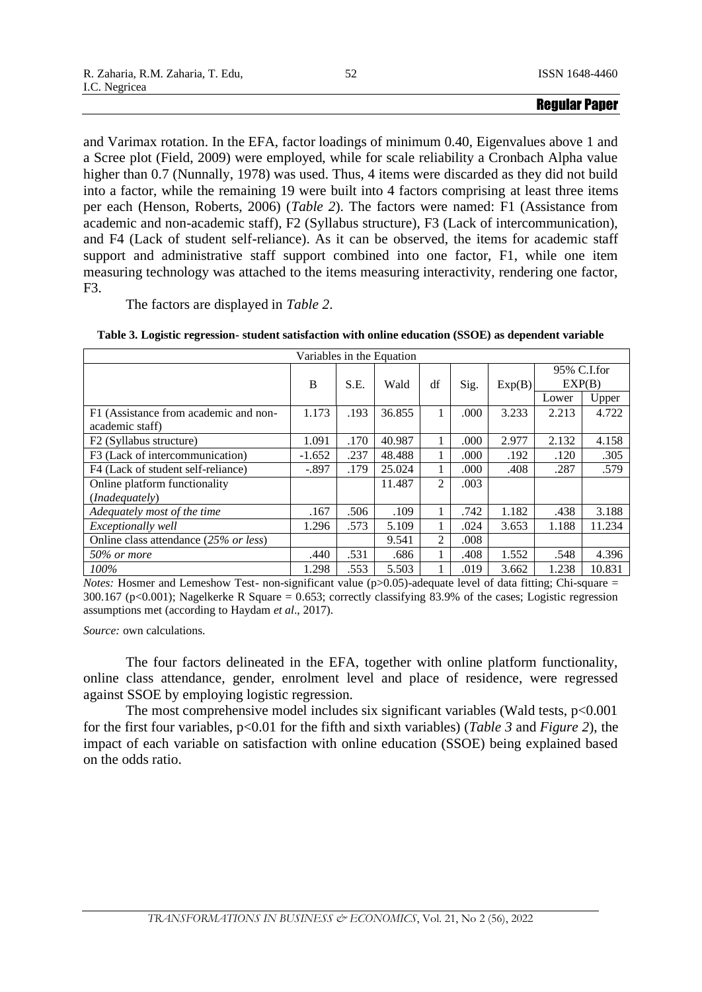and Varimax rotation. In the EFA, factor loadings of minimum 0.40, Eigenvalues above 1 and a Scree plot (Field, 2009) were employed, while for scale reliability a Cronbach Alpha value higher than 0.7 (Nunnally, 1978) was used. Thus, 4 items were discarded as they did not build into a factor, while the remaining 19 were built into 4 factors comprising at least three items per each (Henson, Roberts, 2006) (*Table 2*). The factors were named: F1 (Assistance from academic and non-academic staff), F2 (Syllabus structure), F3 (Lack of intercommunication), and F4 (Lack of student self-reliance). As it can be observed, the items for academic staff support and administrative staff support combined into one factor, F1, while one item measuring technology was attached to the items measuring interactivity, rendering one factor, F3.

The factors are displayed in *Table 2*.

| Variables in the Equation             |          |      |        |    |      |        |             |        |
|---------------------------------------|----------|------|--------|----|------|--------|-------------|--------|
|                                       |          |      |        |    |      |        | 95% C.I.for |        |
|                                       | B        | S.E. | Wald   | df | Sig. | Exp(B) | EXP(B)      |        |
|                                       |          |      |        |    |      |        | Lower       | Upper  |
| F1 (Assistance from academic and non- | 1.173    | .193 | 36.855 |    | .000 | 3.233  | 2.213       | 4.722  |
| academic staff)                       |          |      |        |    |      |        |             |        |
| F <sub>2</sub> (Syllabus structure)   | 1.091    | .170 | 40.987 |    | .000 | 2.977  | 2.132       | 4.158  |
| F3 (Lack of intercommunication)       | $-1.652$ | .237 | 48.488 |    | .000 | .192   | .120        | .305   |
| F4 (Lack of student self-reliance)    | $-.897$  | .179 | 25.024 |    | .000 | .408   | .287        | .579   |
| Online platform functionality         |          |      | 11.487 | 2  | .003 |        |             |        |
| ( <i>Inadequately</i> )               |          |      |        |    |      |        |             |        |
| Adequately most of the time           | .167     | .506 | .109   |    | .742 | 1.182  | .438        | 3.188  |
| <i>Exceptionally well</i>             | 1.296    | .573 | 5.109  |    | .024 | 3.653  | 1.188       | 11.234 |
| Online class attendance (25% or less) |          |      | 9.541  | 2  | .008 |        |             |        |
| 50% or more                           | .440     | .531 | .686   |    | .408 | 1.552  | .548        | 4.396  |
| 100%                                  | 1.298    | .553 | 5.503  |    | .019 | 3.662  | 1.238       | 10.831 |

**Table 3. Logistic regression- student satisfaction with online education (SSOE) as dependent variable**

*Notes:* Hosmer and Lemeshow Test- non-significant value (p>0.05)-adequate level of data fitting; Chi-square = 300.167 (p<0.001); Nagelkerke R Square = 0.653; correctly classifying 83.9% of the cases; Logistic regression assumptions met (according to Haydam *et al*., 2017).

*Source:* own calculations.

The four factors delineated in the EFA, together with online platform functionality, online class attendance, gender, enrolment level and place of residence, were regressed against SSOE by employing logistic regression.

The most comprehensive model includes six significant variables (Wald tests,  $p<0.001$ ) for the first four variables, p<0.01 for the fifth and sixth variables) (*Table 3* and *Figure 2*), the impact of each variable on satisfaction with online education (SSOE) being explained based on the odds ratio.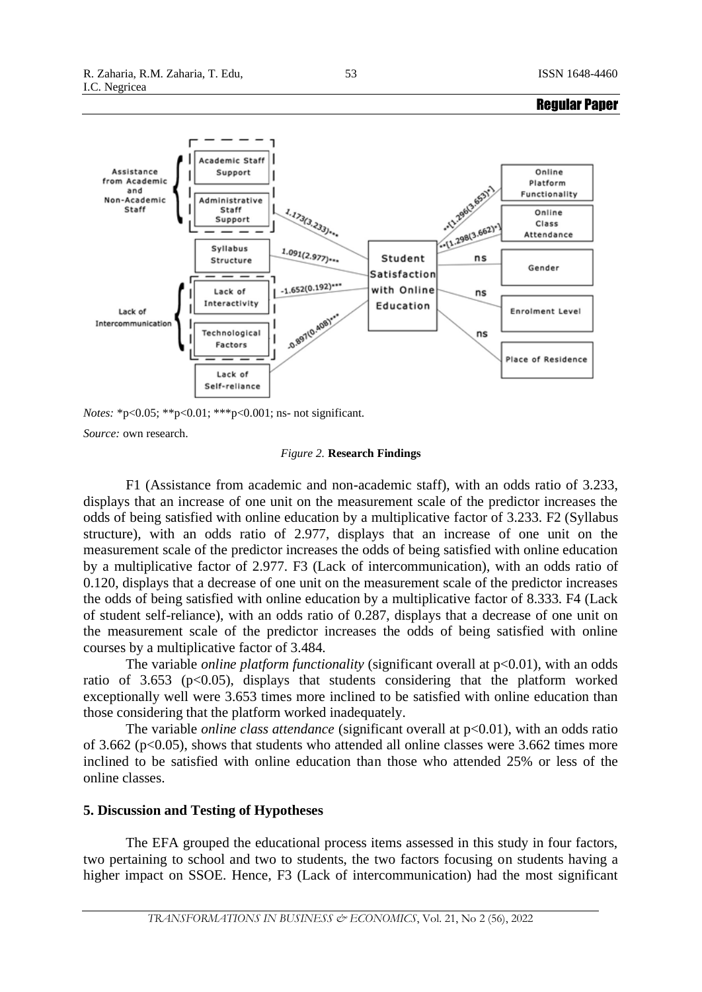



Regular Paper

*Notes:* \*p<0.05; \*\*p<0.01; \*\*\*p<0.001; ns- not significant.

*Source:* own research.

#### *Figure 2.* **Research Findings**

F1 (Assistance from academic and non-academic staff), with an odds ratio of 3.233, displays that an increase of one unit on the measurement scale of the predictor increases the odds of being satisfied with online education by a multiplicative factor of 3.233. F2 (Syllabus structure), with an odds ratio of 2.977, displays that an increase of one unit on the measurement scale of the predictor increases the odds of being satisfied with online education by a multiplicative factor of 2.977. F3 (Lack of intercommunication), with an odds ratio of 0.120, displays that a decrease of one unit on the measurement scale of the predictor increases the odds of being satisfied with online education by a multiplicative factor of 8.333. F4 (Lack of student self-reliance), with an odds ratio of 0.287, displays that a decrease of one unit on the measurement scale of the predictor increases the odds of being satisfied with online courses by a multiplicative factor of 3.484.

The variable *online platform functionality* (significant overall at  $p<0.01$ ), with an odds ratio of 3.653 ( $p<0.05$ ), displays that students considering that the platform worked exceptionally well were 3.653 times more inclined to be satisfied with online education than those considering that the platform worked inadequately.

The variable *online class attendance* (significant overall at  $p<0.01$ ), with an odds ratio of 3.662 ( $p<0.05$ ), shows that students who attended all online classes were 3.662 times more inclined to be satisfied with online education than those who attended 25% or less of the online classes.

### **5. Discussion and Testing of Hypotheses**

The EFA grouped the educational process items assessed in this study in four factors, two pertaining to school and two to students, the two factors focusing on students having a higher impact on SSOE. Hence, F3 (Lack of intercommunication) had the most significant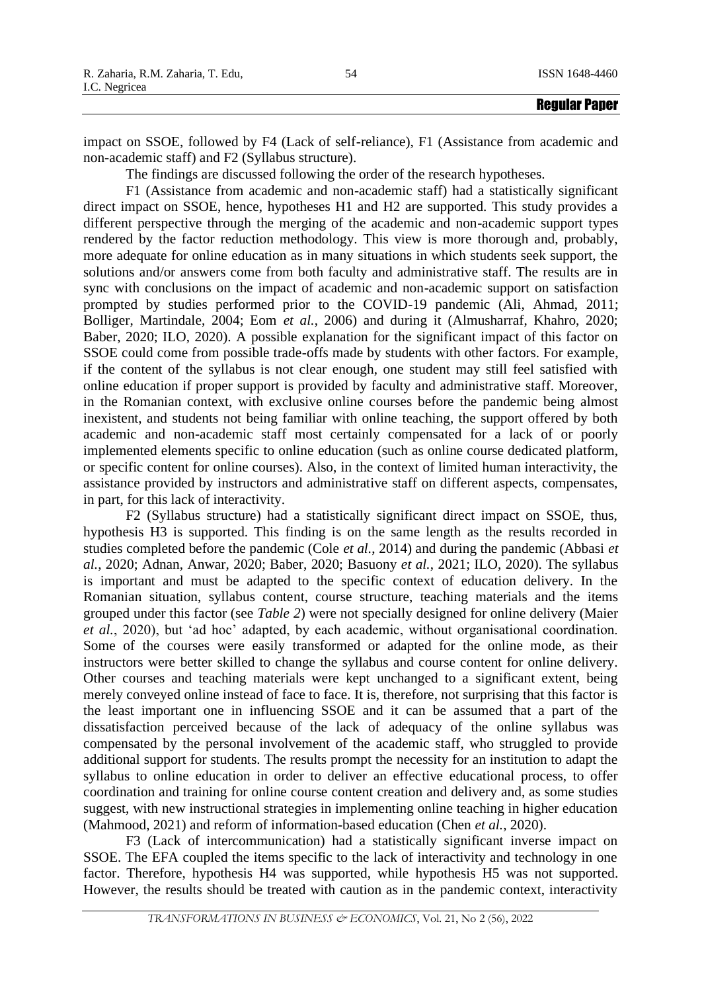impact on SSOE, followed by F4 (Lack of self-reliance), F1 (Assistance from academic and non-academic staff) and F2 (Syllabus structure).

The findings are discussed following the order of the research hypotheses.

F1 (Assistance from academic and non-academic staff) had a statistically significant direct impact on SSOE, hence, hypotheses H1 and H2 are supported. This study provides a different perspective through the merging of the academic and non-academic support types rendered by the factor reduction methodology. This view is more thorough and, probably, more adequate for online education as in many situations in which students seek support, the solutions and/or answers come from both faculty and administrative staff. The results are in sync with conclusions on the impact of academic and non-academic support on satisfaction prompted by studies performed prior to the COVID-19 pandemic (Ali, Ahmad, 2011; Bolliger, Martindale, 2004; Eom *et al.*, 2006) and during it (Almusharraf, Khahro, 2020; Baber, 2020; ILO, 2020). A possible explanation for the significant impact of this factor on SSOE could come from possible trade-offs made by students with other factors. For example, if the content of the syllabus is not clear enough, one student may still feel satisfied with online education if proper support is provided by faculty and administrative staff. Moreover, in the Romanian context, with exclusive online courses before the pandemic being almost inexistent, and students not being familiar with online teaching, the support offered by both academic and non-academic staff most certainly compensated for a lack of or poorly implemented elements specific to online education (such as online course dedicated platform, or specific content for online courses). Also, in the context of limited human interactivity, the assistance provided by instructors and administrative staff on different aspects, compensates, in part, for this lack of interactivity.

F2 (Syllabus structure) had a statistically significant direct impact on SSOE, thus, hypothesis H3 is supported. This finding is on the same length as the results recorded in studies completed before the pandemic (Cole *et al.*, 2014) and during the pandemic (Abbasi *et al.*, 2020; Adnan, Anwar, 2020; Baber, 2020; Basuony *et al.*, 2021; ILO, 2020). The syllabus is important and must be adapted to the specific context of education delivery. In the Romanian situation, syllabus content, course structure, teaching materials and the items grouped under this factor (see *Table 2*) were not specially designed for online delivery (Maier *et al.*, 2020), but 'ad hoc' adapted, by each academic, without organisational coordination. Some of the courses were easily transformed or adapted for the online mode, as their instructors were better skilled to change the syllabus and course content for online delivery. Other courses and teaching materials were kept unchanged to a significant extent, being merely conveyed online instead of face to face. It is, therefore, not surprising that this factor is the least important one in influencing SSOE and it can be assumed that a part of the dissatisfaction perceived because of the lack of adequacy of the online syllabus was compensated by the personal involvement of the academic staff, who struggled to provide additional support for students. The results prompt the necessity for an institution to adapt the syllabus to online education in order to deliver an effective educational process, to offer coordination and training for online course content creation and delivery and, as some studies suggest, with new instructional strategies in implementing online teaching in higher education (Mahmood, 2021) and reform of information-based education (Chen *et al.*, 2020).

F3 (Lack of intercommunication) had a statistically significant inverse impact on SSOE. The EFA coupled the items specific to the lack of interactivity and technology in one factor. Therefore, hypothesis H4 was supported, while hypothesis H5 was not supported. However, the results should be treated with caution as in the pandemic context, interactivity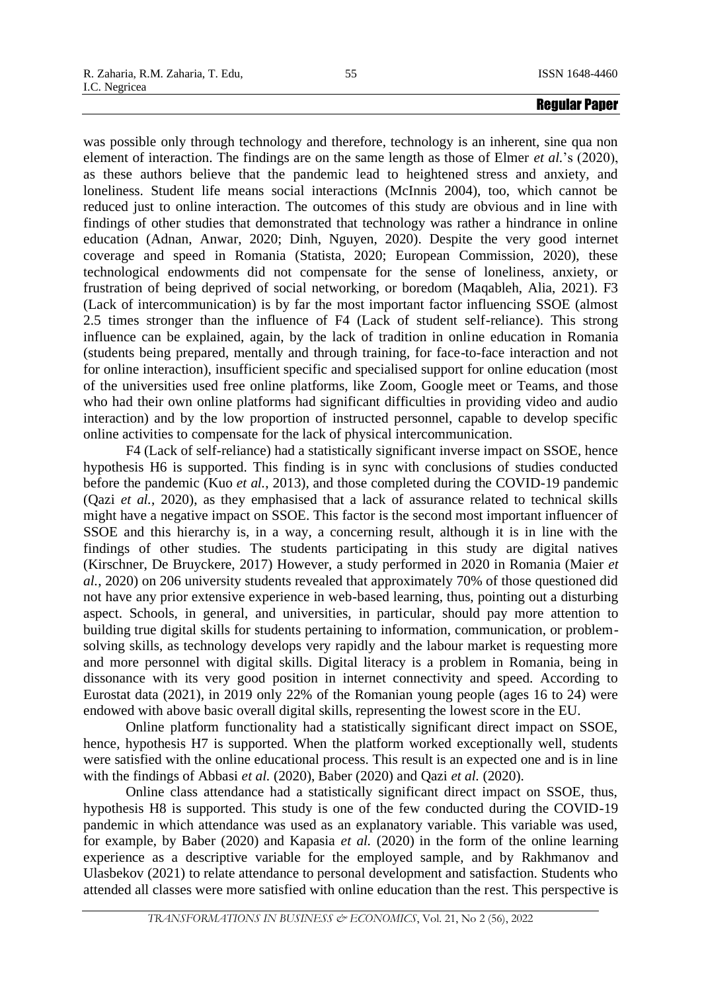was possible only through technology and therefore, technology is an inherent, sine qua non element of interaction. The findings are on the same length as those of Elmer *et al.*'s (2020), as these authors believe that the pandemic lead to heightened stress and anxiety, and loneliness. Student life means social interactions (McInnis 2004), too, which cannot be reduced just to online interaction. The outcomes of this study are obvious and in line with findings of other studies that demonstrated that technology was rather a hindrance in online education (Adnan, Anwar, 2020; Dinh, Nguyen, 2020). Despite the very good internet coverage and speed in Romania (Statista, 2020; European Commission, 2020), these technological endowments did not compensate for the sense of loneliness, anxiety, or frustration of being deprived of social networking, or boredom (Maqableh, Alia, 2021). F3 (Lack of intercommunication) is by far the most important factor influencing SSOE (almost 2.5 times stronger than the influence of F4 (Lack of student self-reliance). This strong influence can be explained, again, by the lack of tradition in online education in Romania (students being prepared, mentally and through training, for face-to-face interaction and not for online interaction), insufficient specific and specialised support for online education (most of the universities used free online platforms, like Zoom, Google meet or Teams, and those who had their own online platforms had significant difficulties in providing video and audio interaction) and by the low proportion of instructed personnel, capable to develop specific online activities to compensate for the lack of physical intercommunication.

F4 (Lack of self-reliance) had a statistically significant inverse impact on SSOE, hence hypothesis H6 is supported. This finding is in sync with conclusions of studies conducted before the pandemic (Kuo *et al.*, 2013), and those completed during the COVID-19 pandemic (Qazi *et al.*, 2020), as they emphasised that a lack of assurance related to technical skills might have a negative impact on SSOE. This factor is the second most important influencer of SSOE and this hierarchy is, in a way, a concerning result, although it is in line with the findings of other studies. The students participating in this study are digital natives (Kirschner, De Bruyckere, 2017) However, a study performed in 2020 in Romania (Maier *et al.*, 2020) on 206 university students revealed that approximately 70% of those questioned did not have any prior extensive experience in web-based learning, thus, pointing out a disturbing aspect. Schools, in general, and universities, in particular, should pay more attention to building true digital skills for students pertaining to information, communication, or problemsolving skills, as technology develops very rapidly and the labour market is requesting more and more personnel with digital skills. Digital literacy is a problem in Romania, being in dissonance with its very good position in internet connectivity and speed. According to Eurostat data (2021), in 2019 only 22% of the Romanian young people (ages 16 to 24) were endowed with above basic overall digital skills, representing the lowest score in the EU.

Online platform functionality had a statistically significant direct impact on SSOE, hence, hypothesis H7 is supported. When the platform worked exceptionally well, students were satisfied with the online educational process. This result is an expected one and is in line with the findings of Abbasi *et al.* (2020), Baber (2020) and Qazi *et al.* (2020).

Online class attendance had a statistically significant direct impact on SSOE, thus, hypothesis H8 is supported. This study is one of the few conducted during the COVID-19 pandemic in which attendance was used as an explanatory variable. This variable was used, for example, by Baber (2020) and Kapasia *et al.* (2020) in the form of the online learning experience as a descriptive variable for the employed sample, and by Rakhmanov and Ulasbekov (2021) to relate attendance to personal development and satisfaction. Students who attended all classes were more satisfied with online education than the rest. This perspective is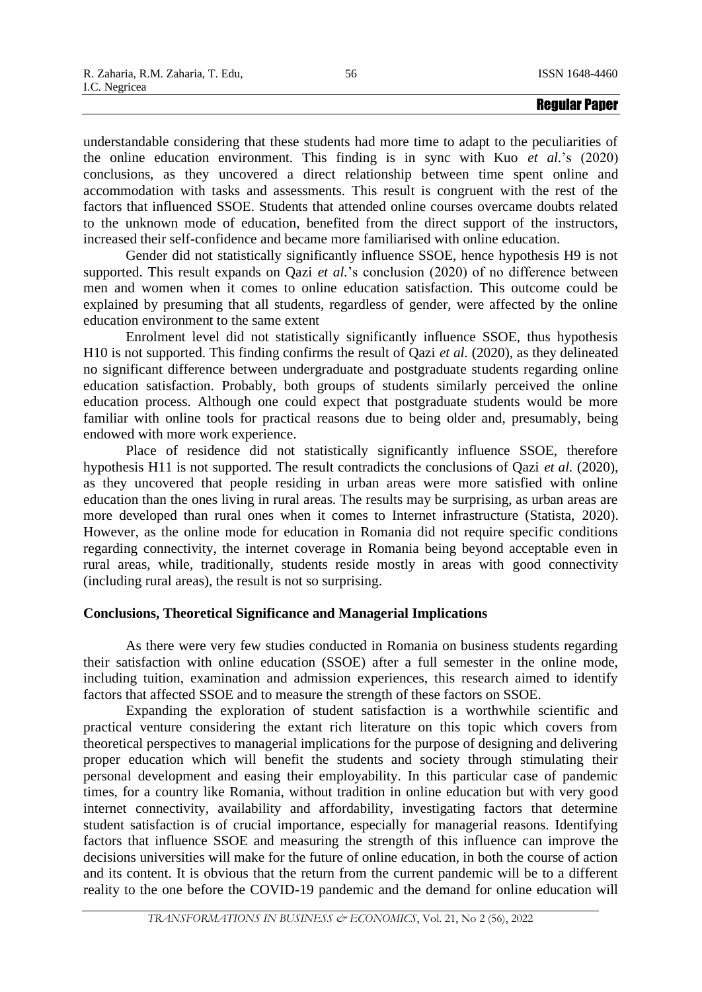understandable considering that these students had more time to adapt to the peculiarities of the online education environment. This finding is in sync with Kuo *et al.*'s (2020) conclusions, as they uncovered a direct relationship between time spent online and accommodation with tasks and assessments. This result is congruent with the rest of the factors that influenced SSOE. Students that attended online courses overcame doubts related to the unknown mode of education, benefited from the direct support of the instructors, increased their self-confidence and became more familiarised with online education.

Gender did not statistically significantly influence SSOE, hence hypothesis H9 is not supported. This result expands on Qazi *et al.*'s conclusion (2020) of no difference between men and women when it comes to online education satisfaction. This outcome could be explained by presuming that all students, regardless of gender, were affected by the online education environment to the same extent

Enrolment level did not statistically significantly influence SSOE, thus hypothesis H10 is not supported. This finding confirms the result of Qazi *et al.* (2020), as they delineated no significant difference between undergraduate and postgraduate students regarding online education satisfaction. Probably, both groups of students similarly perceived the online education process. Although one could expect that postgraduate students would be more familiar with online tools for practical reasons due to being older and, presumably, being endowed with more work experience.

Place of residence did not statistically significantly influence SSOE, therefore hypothesis H11 is not supported. The result contradicts the conclusions of Qazi *et al.* (2020), as they uncovered that people residing in urban areas were more satisfied with online education than the ones living in rural areas. The results may be surprising, as urban areas are more developed than rural ones when it comes to Internet infrastructure (Statista, 2020). However, as the online mode for education in Romania did not require specific conditions regarding connectivity, the internet coverage in Romania being beyond acceptable even in rural areas, while, traditionally, students reside mostly in areas with good connectivity (including rural areas), the result is not so surprising.

# **Conclusions, Theoretical Significance and Managerial Implications**

As there were very few studies conducted in Romania on business students regarding their satisfaction with online education (SSOE) after a full semester in the online mode, including tuition, examination and admission experiences, this research aimed to identify factors that affected SSOE and to measure the strength of these factors on SSOE.

Expanding the exploration of student satisfaction is a worthwhile scientific and practical venture considering the extant rich literature on this topic which covers from theoretical perspectives to managerial implications for the purpose of designing and delivering proper education which will benefit the students and society through stimulating their personal development and easing their employability. In this particular case of pandemic times, for a country like Romania, without tradition in online education but with very good internet connectivity, availability and affordability, investigating factors that determine student satisfaction is of crucial importance, especially for managerial reasons. Identifying factors that influence SSOE and measuring the strength of this influence can improve the decisions universities will make for the future of online education, in both the course of action and its content. It is obvious that the return from the current pandemic will be to a different reality to the one before the COVID-19 pandemic and the demand for online education will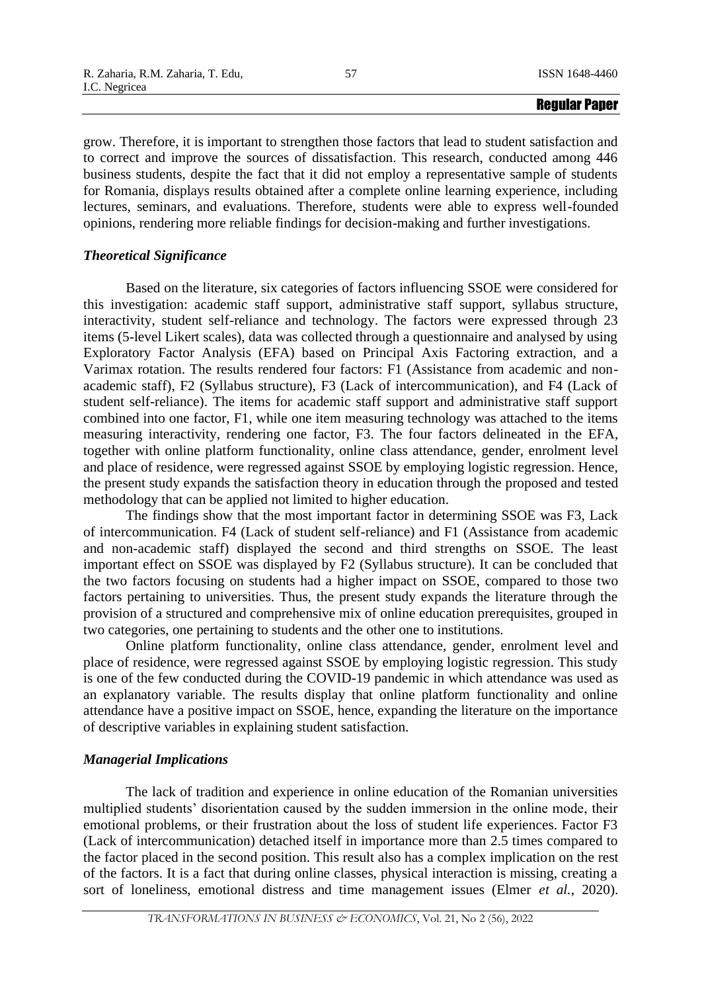grow. Therefore, it is important to strengthen those factors that lead to student satisfaction and to correct and improve the sources of dissatisfaction. This research, conducted among 446 business students, despite the fact that it did not employ a representative sample of students for Romania, displays results obtained after a complete online learning experience, including lectures, seminars, and evaluations. Therefore, students were able to express well-founded opinions, rendering more reliable findings for decision-making and further investigations.

# *Theoretical Significance*

Based on the literature, six categories of factors influencing SSOE were considered for this investigation: academic staff support, administrative staff support, syllabus structure, interactivity, student self-reliance and technology. The factors were expressed through 23 items (5-level Likert scales), data was collected through a questionnaire and analysed by using Exploratory Factor Analysis (EFA) based on Principal Axis Factoring extraction, and a Varimax rotation. The results rendered four factors: F1 (Assistance from academic and nonacademic staff), F2 (Syllabus structure), F3 (Lack of intercommunication), and F4 (Lack of student self-reliance). The items for academic staff support and administrative staff support combined into one factor, F1, while one item measuring technology was attached to the items measuring interactivity, rendering one factor, F3. The four factors delineated in the EFA, together with online platform functionality, online class attendance, gender, enrolment level and place of residence, were regressed against SSOE by employing logistic regression. Hence, the present study expands the satisfaction theory in education through the proposed and tested methodology that can be applied not limited to higher education.

The findings show that the most important factor in determining SSOE was F3, Lack of intercommunication. F4 (Lack of student self-reliance) and F1 (Assistance from academic and non-academic staff) displayed the second and third strengths on SSOE. The least important effect on SSOE was displayed by F2 (Syllabus structure). It can be concluded that the two factors focusing on students had a higher impact on SSOE, compared to those two factors pertaining to universities. Thus, the present study expands the literature through the provision of a structured and comprehensive mix of online education prerequisites, grouped in two categories, one pertaining to students and the other one to institutions.

Online platform functionality, online class attendance, gender, enrolment level and place of residence, were regressed against SSOE by employing logistic regression. This study is one of the few conducted during the COVID-19 pandemic in which attendance was used as an explanatory variable. The results display that online platform functionality and online attendance have a positive impact on SSOE, hence, expanding the literature on the importance of descriptive variables in explaining student satisfaction.

# *Managerial Implications*

The lack of tradition and experience in online education of the Romanian universities multiplied students' disorientation caused by the sudden immersion in the online mode, their emotional problems, or their frustration about the loss of student life experiences. Factor F3 (Lack of intercommunication) detached itself in importance more than 2.5 times compared to the factor placed in the second position. This result also has a complex implication on the rest of the factors. It is a fact that during online classes, physical interaction is missing, creating a sort of loneliness, emotional distress and time management issues (Elmer *et al.*, 2020).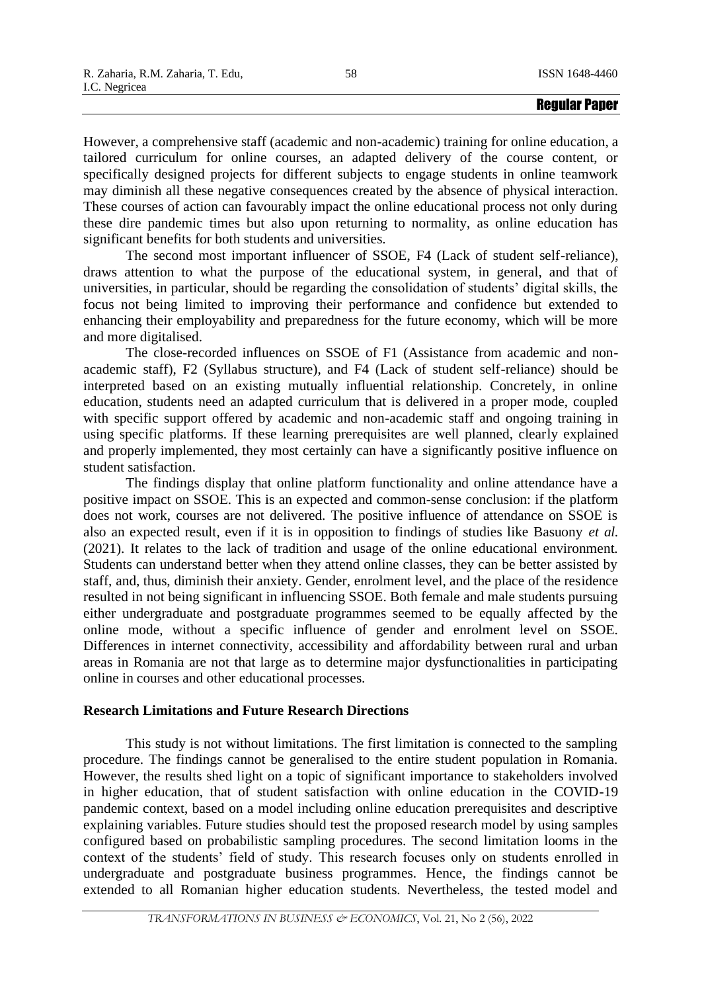However, a comprehensive staff (academic and non-academic) training for online education, a tailored curriculum for online courses, an adapted delivery of the course content, or specifically designed projects for different subjects to engage students in online teamwork may diminish all these negative consequences created by the absence of physical interaction. These courses of action can favourably impact the online educational process not only during these dire pandemic times but also upon returning to normality, as online education has significant benefits for both students and universities.

The second most important influencer of SSOE, F4 (Lack of student self-reliance), draws attention to what the purpose of the educational system, in general, and that of universities, in particular, should be regarding the consolidation of students' digital skills, the focus not being limited to improving their performance and confidence but extended to enhancing their employability and preparedness for the future economy, which will be more and more digitalised.

The close-recorded influences on SSOE of F1 (Assistance from academic and nonacademic staff), F2 (Syllabus structure), and F4 (Lack of student self-reliance) should be interpreted based on an existing mutually influential relationship. Concretely, in online education, students need an adapted curriculum that is delivered in a proper mode, coupled with specific support offered by academic and non-academic staff and ongoing training in using specific platforms. If these learning prerequisites are well planned, clearly explained and properly implemented, they most certainly can have a significantly positive influence on student satisfaction.

The findings display that online platform functionality and online attendance have a positive impact on SSOE. This is an expected and common-sense conclusion: if the platform does not work, courses are not delivered. The positive influence of attendance on SSOE is also an expected result, even if it is in opposition to findings of studies like Basuony *et al.* (2021). It relates to the lack of tradition and usage of the online educational environment. Students can understand better when they attend online classes, they can be better assisted by staff, and, thus, diminish their anxiety. Gender, enrolment level, and the place of the residence resulted in not being significant in influencing SSOE. Both female and male students pursuing either undergraduate and postgraduate programmes seemed to be equally affected by the online mode, without a specific influence of gender and enrolment level on SSOE. Differences in internet connectivity, accessibility and affordability between rural and urban areas in Romania are not that large as to determine major dysfunctionalities in participating online in courses and other educational processes.

# **Research Limitations and Future Research Directions**

This study is not without limitations. The first limitation is connected to the sampling procedure. The findings cannot be generalised to the entire student population in Romania. However, the results shed light on a topic of significant importance to stakeholders involved in higher education, that of student satisfaction with online education in the COVID-19 pandemic context, based on a model including online education prerequisites and descriptive explaining variables. Future studies should test the proposed research model by using samples configured based on probabilistic sampling procedures. The second limitation looms in the context of the students' field of study. This research focuses only on students enrolled in undergraduate and postgraduate business programmes. Hence, the findings cannot be extended to all Romanian higher education students. Nevertheless, the tested model and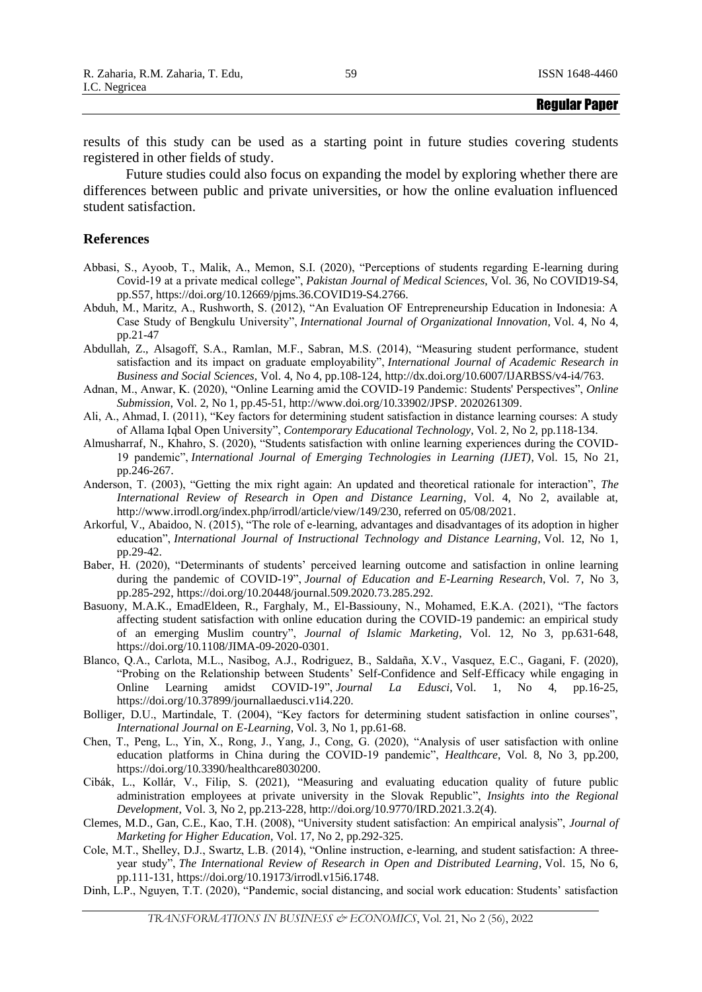results of this study can be used as a starting point in future studies covering students registered in other fields of study.

Future studies could also focus on expanding the model by exploring whether there are differences between public and private universities, or how the online evaluation influenced student satisfaction.

## **References**

- Abbasi, S., Ayoob, T., Malik, A., Memon, S.I. (2020), "Perceptions of students regarding E-learning during Covid-19 at a private medical college", *Pakistan Journal of Medical Sciences*, Vol. 36, No COVID19-S4, pp.S57, https://doi.org/10.12669/pjms.36.COVID19-S4.2766.
- Abduh, M., Maritz, A., Rushworth, S. (2012), "An Evaluation OF Entrepreneurship Education in Indonesia: A Case Study of Bengkulu University", *International Journal of Organizational Innovation*, Vol. 4, No 4, pp.21-47
- Abdullah, Z., Alsagoff, S.A., Ramlan, M.F., Sabran, M.S. (2014), "Measuring student performance, student satisfaction and its impact on graduate employability", *International Journal of Academic Research in Business and Social Sciences*, Vol. 4, No 4, pp.108-124, http://dx.doi.org/10.6007/IJARBSS/v4-i4/763.
- Adnan, M., Anwar, K. (2020), "Online Learning amid the COVID-19 Pandemic: Students' Perspectives", *Online Submission*, Vol. 2, No 1, pp.45-51, [http://www.doi.org/10.33902/JPSP. 2020261309.](http://www.doi.org/10.33902/JPSP.%202020261309)
- Ali, A., Ahmad, I. (2011), "Key factors for determining student satisfaction in distance learning courses: A study of Allama Iqbal Open University", *Contemporary Educational Technology*, Vol. 2, No 2, pp.118-134.
- Almusharraf, N., Khahro, S. (2020), "Students satisfaction with online learning experiences during the COVID-19 pandemic", *International Journal of Emerging Technologies in Learning (IJET)*, Vol. 15, No 21, pp.246-267.
- Anderson, T. (2003), "Getting the mix right again: An updated and theoretical rationale for interaction", *The International Review of Research in Open and Distance Learning*, Vol. 4, No 2, available at, http://www.irrodl.org/index.php/irrodl/article/view/149/230, referred on 05/08/2021.
- Arkorful, V., Abaidoo, N. (2015), "The role of e-learning, advantages and disadvantages of its adoption in higher education", *International Journal of Instructional Technology and Distance Learning*, Vol. 12, No 1, pp.29-42.
- Baber, H. (2020), "Determinants of students' perceived learning outcome and satisfaction in online learning during the pandemic of COVID-19", *Journal of Education and E-Learning Research*, Vol. 7, No 3, pp.285-292, [https://doi.org/10.20448/journal.509.2020.73.285.292.](https://doi.org/10.20448/journal.509.2020.73.285.292)
- Basuony, M.A.K., EmadEldeen, R., Farghaly, M., El-Bassiouny, N., Mohamed, E.K.A. (2021), "The factors affecting student satisfaction with online education during the COVID-19 pandemic: an empirical study of an emerging Muslim country", *Journal of Islamic Marketing*, Vol. 12, No 3, pp.631-648, [https://doi.org/10.1108/JIMA-09-2020-0301.](https://doi.org/10.1108/JIMA-09-2020-0301)
- Blanco, Q.A., Carlota, M.L., Nasibog, A.J., Rodriguez, B., Saldaña, X.V., Vasquez, E.C., Gagani, F. (2020), "Probing on the Relationship between Students' Self-Confidence and Self-Efficacy while engaging in Online Learning amidst COVID-19", *Journal La Edusci*, Vol. 1, No 4, pp.16-25, https://doi.org/10.37899/journallaedusci.v1i4.220.
- Bolliger, D.U., Martindale, T. (2004), "Key factors for determining student satisfaction in online courses", *International Journal on E-Learning*, Vol. 3, No 1, pp.61-68.
- Chen, T., Peng, L., Yin, X., Rong, J., Yang, J., Cong, G. (2020), "Analysis of user satisfaction with online education platforms in China during the COVID-19 pandemic", *Healthcare*, Vol. 8, No 3, pp.200, [https://doi.org/10.3390/healthcare8030200.](https://doi.org/10.3390/healthcare8030200)
- Cibák, L., Kollár, V., Filip, S. (2021), "Measuring and evaluating education quality of future public administration employees at private university in the Slovak Republic", *Insights into the Regional Development*, Vol. 3, No 2, pp.213-228, http://doi.org/10.9770/IRD.2021.3.2(4).
- Clemes, M.D., Gan, C.E., Kao, T.H. (2008), "University student satisfaction: An empirical analysis", *Journal of Marketing for Higher Education*, Vol. 17, No 2, pp.292-325.
- Cole, M.T., Shelley, D.J., Swartz, L.B. (2014), "Online instruction, e-learning, and student satisfaction: A threeyear study", *The International Review of Research in Open and Distributed Learning*, Vol. 15, No 6, pp.111-131, [https://doi.org/10.19173/irrodl.v15i6.1748.](https://doi.org/10.19173/irrodl.v15i6.1748)
- Dinh, L.P., Nguyen, T.T. (2020), "Pandemic, social distancing, and social work education: Students' satisfaction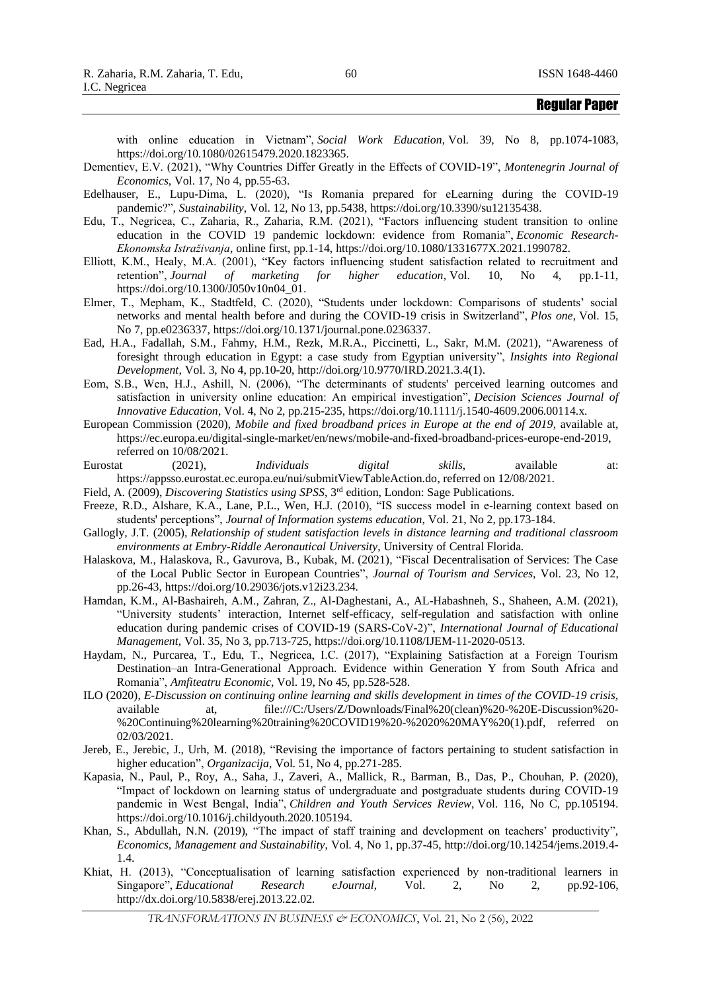with online education in Vietnam", *Social Work Education*, Vol. 39, No 8, pp.1074-1083, [https://doi.org/10.1080/02615479.2020.1823365.](https://doi.org/10.1080/02615479.2020.1823365)

- Dementiev, E.V. (2021), "Why Countries Differ Greatly in the Effects of COVID-19", *Montenegrin Journal of Economics*, Vol. 17, No 4, pp.55-63.
- Edelhauser, E., Lupu-Dima, L. (2020), "Is Romania prepared for eLearning during the COVID-19 pandemic?", *Sustainability*, Vol. 12, No 13, pp.5438, https://doi.org/10.3390/su12135438.
- Edu, T., Negricea, C., Zaharia, R., Zaharia, R.M. (2021), "Factors influencing student transition to online education in the COVID 19 pandemic lockdown: evidence from Romania", *Economic Research-Ekonomska Istraživanja*, online first, pp.1-14, https://doi.org/10.1080/1331677X.2021.1990782.
- Elliott, K.M., Healy, M.A. (2001), "Key factors influencing student satisfaction related to recruitment and retention", *Journal of marketing for higher education*, Vol. 10, No 4, pp.1-11, https://doi.org/10.1300/J050v10n04\_01.
- Elmer, T., Mepham, K., Stadtfeld, C. (2020), "Students under lockdown: Comparisons of students' social networks and mental health before and during the COVID-19 crisis in Switzerland", *Plos one*, Vol. 15, No 7, pp.e0236337, [https://doi.org/10.1371/journal.pone.0236337.](https://doi.org/10.1371/journal.pone.0236337)
- Ead, H.A., Fadallah, S.M., Fahmy, H.M., Rezk, M.R.A., Piccinetti, L., Sakr, M.M. (2021), "Awareness of foresight through education in Egypt: a case study from Egyptian university", *Insights into Regional Development*, Vol. 3, No 4, pp.10-20, http://doi.org/10.9770/IRD.2021.3.4(1).
- Eom, S.B., Wen, H.J., Ashill, N. (2006), "The determinants of students' perceived learning outcomes and satisfaction in university online education: An empirical investigation", *Decision Sciences Journal of Innovative Education*, Vol. 4, No 2, pp.215-235, [https://doi.org/10.1111/j.1540-4609.2006.00114.x.](https://doi.org/10.1111/j.1540-4609.2006.00114.x)
- European Commission (2020), *Mobile and fixed broadband prices in Europe at the end of 2019*, available at, [https://ec.europa.eu/digital-single-market/en/news/mobile-and-fixed-broadband-prices-europe-end-2019,](https://ec.europa.eu/digital-single-market/en/news/mobile-and-fixed-broadband-prices-europe-end-2019) referred on 10/08/2021.
- Eurostat (2021), *Individuals digital skills*, available at: [https://appsso.eurostat.ec.europa.eu/nui/submitViewTableAction.do,](https://appsso.eurostat.ec.europa.eu/nui/submitViewTableAction.do) referred on 12/08/2021.
- Field, A. (2009), *Discovering Statistics using SPSS*, 3rd edition, London: Sage Publications.
- Freeze, R.D., Alshare, K.A., Lane, P.L., Wen, H.J. (2010), "IS success model in e-learning context based on students' perceptions", *Journal of Information systems education*, Vol. 21, No 2, pp.173-184.
- Gallogly, J.T. (2005), *Relationship of student satisfaction levels in distance learning and traditional classroom environments at Embry-Riddle Aeronautical University*, University of Central Florida.
- Halaskova, M., Halaskova, R., Gavurova, B., Kubak, M. (2021), "Fiscal Decentralisation of Services: The Case of the Local Public Sector in European Countries", *Journal of Tourism and Services*, Vol. 23, No 12, pp.26-43, https://doi.org/10.29036/jots.v12i23.234.
- Hamdan, K.M., Al-Bashaireh, A.M., Zahran, Z., Al-Daghestani, A., AL-Habashneh, S., Shaheen, A.M. (2021), "University students' interaction, Internet self-efficacy, self-regulation and satisfaction with online education during pandemic crises of COVID-19 (SARS-CoV-2)", *International Journal of Educational Management*, Vol. 35, No 3, pp.713-725, https://doi.org/10.1108/IJEM-11-2020-0513.
- Haydam, N., Purcarea, T., Edu, T., Negricea, I.C. (2017), "Explaining Satisfaction at a Foreign Tourism Destination–an Intra-Generational Approach. Evidence within Generation Y from South Africa and Romania", *Amfiteatru Economic*, Vol. 19, No 45, pp.528-528.
- ILO (2020), *E-Discussion on continuing online learning and skills development in times of the COVID-19 crisis,*  available at, file:///C:/Users/Z/Downloads/Final%20(clean)%20-%20E-Discussion%20- %20Continuing%20learning%20training%20COVID19%20-%2020%20MAY%20(1).pdf, referred on 02/03/2021.
- Jereb, E., Jerebic, J., Urh, M. (2018), "Revising the importance of factors pertaining to student satisfaction in higher education", *Organizacija*, Vol. 51, No 4, pp.271-285.
- Kapasia, N., Paul, P., Roy, A., Saha, J., Zaveri, A., Mallick, R., Barman, B., Das, P., Chouhan, P. (2020), "Impact of lockdown on learning status of undergraduate and postgraduate students during COVID-19 pandemic in West Bengal, India", *Children and Youth Services Review*, Vol. 116, No C, pp.105194. [https://doi.org/10.1016/j.childyouth.2020.105194.](https://doi.org/10.1016/j.childyouth.2020.105194)
- Khan, S., Abdullah, N.N. (2019), "The impact of staff training and development on teachers' productivity", *Economics, Management and Sustainability*, Vol. 4, No 1, pp.37-45, http://doi.org/10.14254/jems.2019.4- 1.4.
- Khiat, H. (2013), "Conceptualisation of learning satisfaction experienced by non-traditional learners in Singapore", *Educational Research eJournal*, Vol. 2, No 2, pp.92-106, http://dx.doi.org/10.5838/erej.2013.22.02.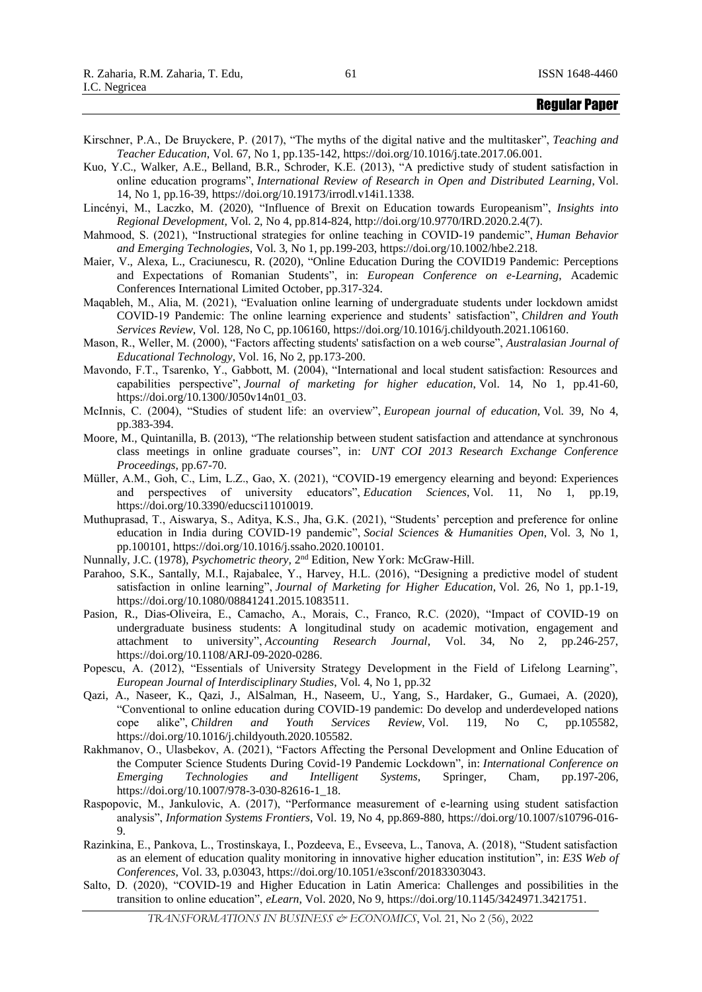- Kirschner, P.A., De Bruyckere, P. (2017), "The myths of the digital native and the multitasker", *Teaching and Teacher Education*, Vol. 67, No 1, pp.135-142, https://doi.org/10.1016/j.tate.2017.06.001.
- Kuo, Y.C., Walker, A.E., Belland, B.R., Schroder, K.E. (2013), "A predictive study of student satisfaction in online education programs", *International Review of Research in Open and Distributed Learning*, Vol. 14, No 1, pp.16-39, [https://doi.org/10.19173/irrodl.v14i1.1338.](https://doi.org/10.19173/irrodl.v14i1.1338)
- Lincényi, M., Laczko, M. (2020), "Influence of Brexit on Education towards Europeanism", *Insights into Regional Development*, Vol. 2, No 4, pp.814-824, http://doi.org/10.9770/IRD.2020.2.4(7).
- Mahmood, S. (2021), "Instructional strategies for online teaching in COVID‐19 pandemic", *Human Behavior and Emerging Technologies*, Vol. 3, No 1, pp.199-203, https://doi.org/10.1002/hbe2.218.
- Maier, V., Alexa, L., Craciunescu, R. (2020), "Online Education During the COVID19 Pandemic: Perceptions and Expectations of Romanian Students", in: *European Conference on e-Learning*, Academic Conferences International Limited October, pp.317-324.
- Maqableh, M., Alia, M. (2021), "Evaluation online learning of undergraduate students under lockdown amidst COVID-19 Pandemic: The online learning experience and students' satisfaction", *Children and Youth Services Review*, Vol. 128, No C, pp.106160, https://doi.org/10.1016/j.childyouth.2021.106160.
- Mason, R., Weller, M. (2000), "Factors affecting students' satisfaction on a web course", *Australasian Journal of Educational Technology*, Vol. 16, No 2, pp.173-200.
- Mavondo, F.T., Tsarenko, Y., Gabbott, M. (2004), "International and local student satisfaction: Resources and capabilities perspective", *Journal of marketing for higher education*, Vol. 14, No 1, pp.41-60, https://doi.org/10.1300/J050v14n01\_03.
- McInnis, C. (2004), "Studies of student life: an overview", *European journal of education*, Vol. 39, No 4, pp.383-394.
- Moore, M., Quintanilla, B. (2013), "The relationship between student satisfaction and attendance at synchronous class meetings in online graduate courses", in: *UNT COI 2013 Research Exchange Conference Proceedings*, pp.67-70.
- Müller, A.M., Goh, C., Lim, L.Z., Gao, X. (2021), "COVID-19 emergency elearning and beyond: Experiences and perspectives of university educators", *Education Sciences*, Vol. 11, No 1, pp.19, https://doi.org/10.3390/educsci11010019.
- Muthuprasad, T., Aiswarya, S., Aditya, K.S., Jha, G.K. (2021), "Students' perception and preference for online education in India during COVID-19 pandemic", *Social Sciences & Humanities Open*, Vol. 3, No 1, pp.100101, https://doi.org/10.1016/j.ssaho.2020.100101.
- Nunnally, J.C. (1978), *Psychometric theory*, 2<sup>nd</sup> Edition, New York: McGraw-Hill.
- Parahoo, S.K., Santally, M.I., Rajabalee, Y., Harvey, H.L. (2016), "Designing a predictive model of student satisfaction in online learning", *Journal of Marketing for Higher Education*, Vol. 26, No 1, pp.1-19, [https://doi.org/10.1080/08841241.2015.1083511.](https://doi.org/10.1080/08841241.2015.1083511)
- Pasion, R., Dias-Oliveira, E., Camacho, A., Morais, C., Franco, R.C. (2020), "Impact of COVID-19 on undergraduate business students: A longitudinal study on academic motivation, engagement and attachment to university", *Accounting Research Journal*, Vol. 34, No 2, pp.246-257, https://doi.org/10.1108/ARJ-09-2020-0286.
- Popescu, A. (2012), "Essentials of University Strategy Development in the Field of Lifelong Learning", *European Journal of Interdisciplinary Studies*, Vol. 4, No 1, pp.32
- Qazi, A., Naseer, K., Qazi, J., AlSalman, H., Naseem, U., Yang, S., Hardaker, G., Gumaei, A. (2020), "Conventional to online education during COVID-19 pandemic: Do develop and underdeveloped nations cope alike", *Children and Youth Services Review*, Vol. 119, No C, pp.105582, https://doi.org/10.1016/j.childyouth.2020.105582.
- Rakhmanov, O., Ulasbekov, A. (2021), "Factors Affecting the Personal Development and Online Education of the Computer Science Students During Covid-19 Pandemic Lockdown", in: *International Conference on Emerging Technologies and Intelligent Systems*, Springer, Cham, pp.197-206, https://doi.org/10.1007/978-3-030-82616-1\_18.
- Raspopovic, M., Jankulovic, A. (2017), "Performance measurement of e-learning using student satisfaction analysis", *Information Systems Frontiers*, Vol. 19, No 4, pp.869-880, https://doi.org/10.1007/s10796-016- 9.
- Razinkina, E., Pankova, L., Trostinskaya, I., Pozdeeva, E., Evseeva, L., Tanova, A. (2018), "Student satisfaction as an element of education quality monitoring in innovative higher education institution", in: *E3S Web of Conferences*, Vol. 33, p.03043, https://doi.org/10.1051/e3sconf/20183303043.
- Salto, D. (2020), "COVID-19 and Higher Education in Latin America: Challenges and possibilities in the transition to online education", *eLearn*, Vol. 2020, No 9, [https://doi.org/10.1145/3424971.3421751.](https://doi.org/10.1145/3424971.3421751)